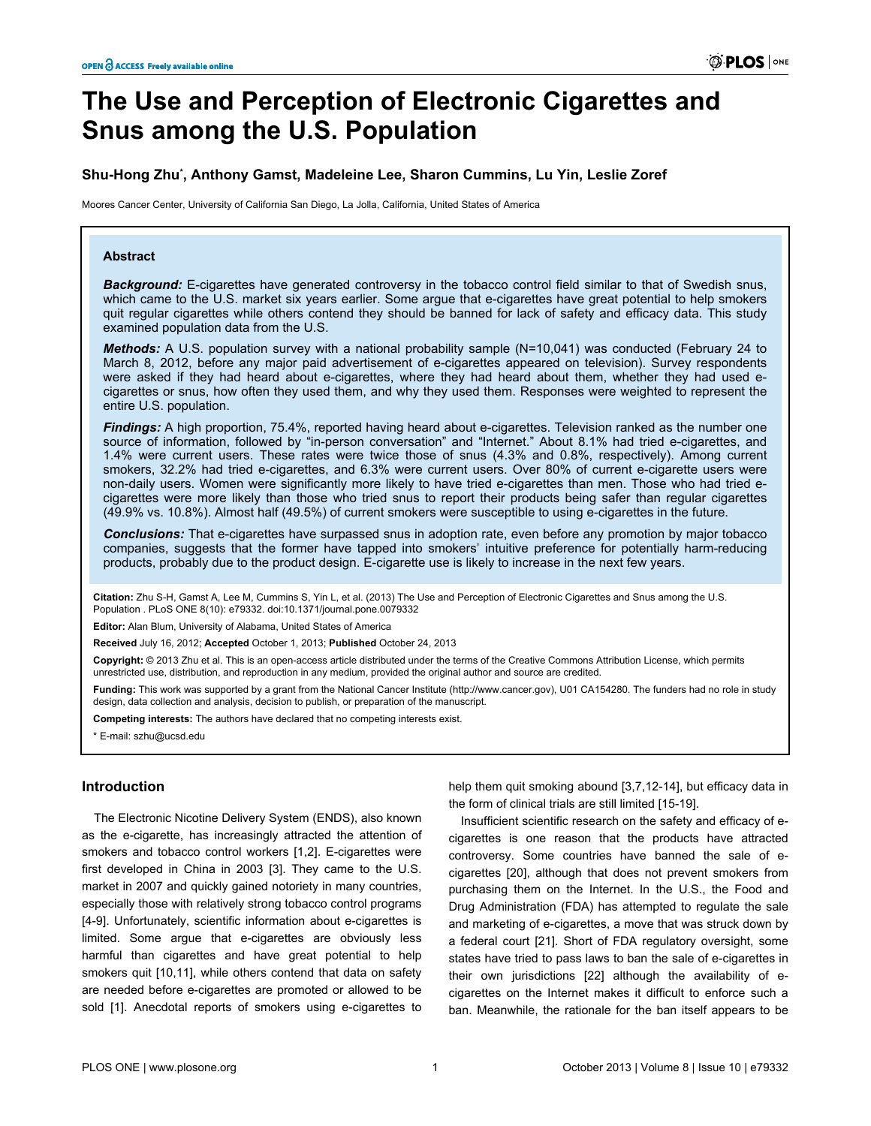# **The Use and Perception of Electronic Cigarettes and Snus among the U.S. Population**

# **Shu-Hong Zhu\* , Anthony Gamst, Madeleine Lee, Sharon Cummins, Lu Yin, Leslie Zoref**

Moores Cancer Center, University of California San Diego, La Jolla, California, United States of America

## **Abstract**

*Background:* E-cigarettes have generated controversy in the tobacco control field similar to that of Swedish snus, which came to the U.S. market six years earlier. Some argue that e-cigarettes have great potential to help smokers quit regular cigarettes while others contend they should be banned for lack of safety and efficacy data. This study examined population data from the U.S.

*Methods:* A U.S. population survey with a national probability sample (N=10,041) was conducted (February 24 to March 8, 2012, before any major paid advertisement of e-cigarettes appeared on television). Survey respondents were asked if they had heard about e-cigarettes, where they had heard about them, whether they had used ecigarettes or snus, how often they used them, and why they used them. Responses were weighted to represent the entire U.S. population.

*Findings:* A high proportion, 75.4%, reported having heard about e-cigarettes. Television ranked as the number one source of information, followed by "in-person conversation" and "Internet." About 8.1% had tried e-cigarettes, and 1.4% were current users. These rates were twice those of snus (4.3% and 0.8%, respectively). Among current smokers, 32.2% had tried e-cigarettes, and 6.3% were current users. Over 80% of current e-cigarette users were non-daily users. Women were significantly more likely to have tried e-cigarettes than men. Those who had tried ecigarettes were more likely than those who tried snus to report their products being safer than regular cigarettes (49.9% vs. 10.8%). Almost half (49.5%) of current smokers were susceptible to using e-cigarettes in the future.

*Conclusions:* That e-cigarettes have surpassed snus in adoption rate, even before any promotion by major tobacco companies, suggests that the former have tapped into smokers' intuitive preference for potentially harm-reducing products, probably due to the product design. E-cigarette use is likely to increase in the next few years.

**Citation:** Zhu S-H, Gamst A, Lee M, Cummins S, Yin L, et al. (2013) The Use and Perception of Electronic Cigarettes and Snus among the U.S. Population . PLoS ONE 8(10): e79332. doi:10.1371/journal.pone.0079332

**Editor:** Alan Blum, University of Alabama, United States of America

**Received** July 16, 2012; **Accepted** October 1, 2013; **Published** October 24, 2013

**Copyright:** © 2013 Zhu et al. This is an open-access article distributed under the terms of the Creative Commons Attribution License, which permits unrestricted use, distribution, and reproduction in any medium, provided the original author and source are credited.

**Funding:** This work was supported by a grant from the National Cancer Institute [\(http://www.cancer.gov](http://www.cancer.gov)), U01 CA154280. The funders had no role in study design, data collection and analysis, decision to publish, or preparation of the manuscript.

**Competing interests:** The authors have declared that no competing interests exist.

\* E-mail: szhu@ucsd.edu

## **Introduction**

The Electronic Nicotine Delivery System (ENDS), also known as the e-cigarette, has increasingly attracted the attention of smokers and tobacco control workers [\[1,2\]](#page-9-0). E-cigarettes were first developed in China in 2003 [[3](#page-9-0)]. They came to the U.S. market in 2007 and quickly gained notoriety in many countries, especially those with relatively strong tobacco control programs [[4-9](#page-9-0)]. Unfortunately, scientific information about e-cigarettes is limited. Some argue that e-cigarettes are obviously less harmful than cigarettes and have great potential to help smokers quit [\[10,11](#page-9-0)], while others contend that data on safety are needed before e-cigarettes are promoted or allowed to be sold [\[1\]](#page-9-0). Anecdotal reports of smokers using e-cigarettes to help them quit smoking abound [[3](#page-9-0),[7](#page-9-0),[12-14](#page-9-0)], but efficacy data in the form of clinical trials are still limited [\[15-](#page-9-0)[19\]](#page-10-0).

Insufficient scientific research on the safety and efficacy of ecigarettes is one reason that the products have attracted controversy. Some countries have banned the sale of ecigarettes [[20](#page-10-0)], although that does not prevent smokers from purchasing them on the Internet. In the U.S., the Food and Drug Administration (FDA) has attempted to regulate the sale and marketing of e-cigarettes, a move that was struck down by a federal court [\[21\]](#page-10-0). Short of FDA regulatory oversight, some states have tried to pass laws to ban the sale of e-cigarettes in their own jurisdictions [\[22\]](#page-10-0) although the availability of ecigarettes on the Internet makes it difficult to enforce such a ban. Meanwhile, the rationale for the ban itself appears to be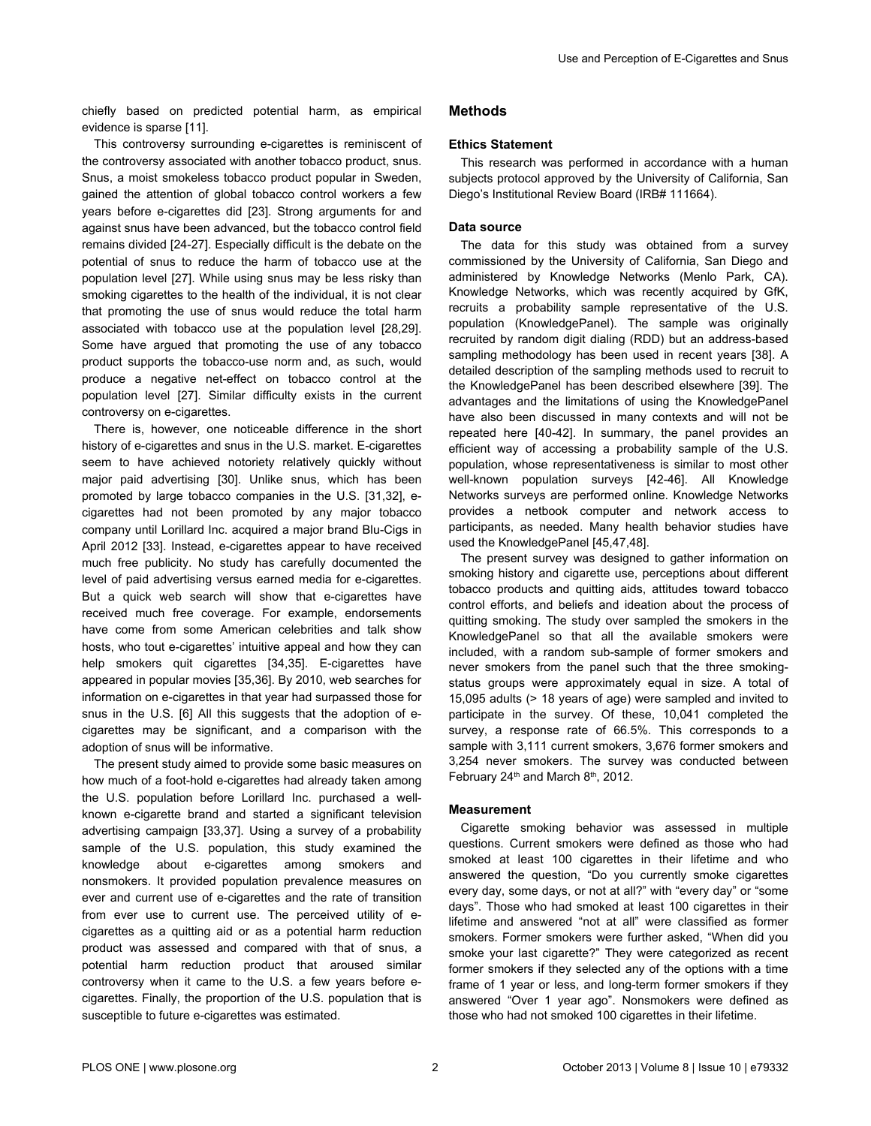chiefly based on predicted potential harm, as empirical evidence is sparse [[11](#page-9-0)].

This controversy surrounding e-cigarettes is reminiscent of the controversy associated with another tobacco product, snus. Snus, a moist smokeless tobacco product popular in Sweden, gained the attention of global tobacco control workers a few years before e-cigarettes did [[23](#page-10-0)]. Strong arguments for and against snus have been advanced, but the tobacco control field remains divided [\[24-27\]](#page-10-0). Especially difficult is the debate on the potential of snus to reduce the harm of tobacco use at the population level [[27](#page-10-0)]. While using snus may be less risky than smoking cigarettes to the health of the individual, it is not clear that promoting the use of snus would reduce the total harm associated with tobacco use at the population level [[28,29\]](#page-10-0). Some have argued that promoting the use of any tobacco product supports the tobacco-use norm and, as such, would produce a negative net-effect on tobacco control at the population level [\[27\]](#page-10-0). Similar difficulty exists in the current controversy on e-cigarettes.

There is, however, one noticeable difference in the short history of e-cigarettes and snus in the U.S. market. E-cigarettes seem to have achieved notoriety relatively quickly without major paid advertising [[30\]](#page-10-0). Unlike snus, which has been promoted by large tobacco companies in the U.S. [\[31,32\]](#page-10-0), ecigarettes had not been promoted by any major tobacco company until Lorillard Inc. acquired a major brand Blu-Cigs in April 2012 [[33](#page-10-0)]. Instead, e-cigarettes appear to have received much free publicity. No study has carefully documented the level of paid advertising versus earned media for e-cigarettes. But a quick web search will show that e-cigarettes have received much free coverage. For example, endorsements have come from some American celebrities and talk show hosts, who tout e-cigarettes' intuitive appeal and how they can help smokers quit cigarettes [[34](#page-10-0),[35\]](#page-10-0). E-cigarettes have appeared in popular movies [\[35,36\]](#page-10-0). By 2010, web searches for information on e-cigarettes in that year had surpassed those for snus in the U.S. [\[6](#page-9-0)] All this suggests that the adoption of ecigarettes may be significant, and a comparison with the adoption of snus will be informative.

The present study aimed to provide some basic measures on how much of a foot-hold e-cigarettes had already taken among the U.S. population before Lorillard Inc. purchased a wellknown e-cigarette brand and started a significant television advertising campaign [[33,37\]](#page-10-0). Using a survey of a probability sample of the U.S. population, this study examined the knowledge about e-cigarettes among smokers and nonsmokers. It provided population prevalence measures on ever and current use of e-cigarettes and the rate of transition from ever use to current use. The perceived utility of ecigarettes as a quitting aid or as a potential harm reduction product was assessed and compared with that of snus, a potential harm reduction product that aroused similar controversy when it came to the U.S. a few years before ecigarettes. Finally, the proportion of the U.S. population that is susceptible to future e-cigarettes was estimated.

# **Methods**

## **Ethics Statement**

This research was performed in accordance with a human subjects protocol approved by the University of California, San Diego's Institutional Review Board (IRB# 111664).

## **Data source**

The data for this study was obtained from a survey commissioned by the University of California, San Diego and administered by Knowledge Networks (Menlo Park, CA). Knowledge Networks, which was recently acquired by GfK, recruits a probability sample representative of the U.S. population (KnowledgePanel). The sample was originally recruited by random digit dialing (RDD) but an address-based sampling methodology has been used in recent years [\[38](#page-10-0)]. A detailed description of the sampling methods used to recruit to the KnowledgePanel has been described elsewhere [\[39\]](#page-10-0). The advantages and the limitations of using the KnowledgePanel have also been discussed in many contexts and will not be repeated here [[40](#page-10-0)-[42](#page-10-0)]. In summary, the panel provides an efficient way of accessing a probability sample of the U.S. population, whose representativeness is similar to most other well-known population surveys [\[42-46\]](#page-10-0). All Knowledge Networks surveys are performed online. Knowledge Networks provides a netbook computer and network access to participants, as needed. Many health behavior studies have used the KnowledgePanel [[45](#page-10-0),[47](#page-10-0),[48](#page-10-0)].

The present survey was designed to gather information on smoking history and cigarette use, perceptions about different tobacco products and quitting aids, attitudes toward tobacco control efforts, and beliefs and ideation about the process of quitting smoking. The study over sampled the smokers in the KnowledgePanel so that all the available smokers were included, with a random sub-sample of former smokers and never smokers from the panel such that the three smokingstatus groups were approximately equal in size. A total of 15,095 adults (> 18 years of age) were sampled and invited to participate in the survey. Of these, 10,041 completed the survey, a response rate of 66.5%. This corresponds to a sample with 3,111 current smokers, 3,676 former smokers and 3,254 never smokers. The survey was conducted between February 24<sup>th</sup> and March 8<sup>th</sup>, 2012.

#### **Measurement**

Cigarette smoking behavior was assessed in multiple questions. Current smokers were defined as those who had smoked at least 100 cigarettes in their lifetime and who answered the question, "Do you currently smoke cigarettes every day, some days, or not at all?" with "every day" or "some days". Those who had smoked at least 100 cigarettes in their lifetime and answered "not at all" were classified as former smokers. Former smokers were further asked, "When did you smoke your last cigarette?" They were categorized as recent former smokers if they selected any of the options with a time frame of 1 year or less, and long-term former smokers if they answered "Over 1 year ago". Nonsmokers were defined as those who had not smoked 100 cigarettes in their lifetime.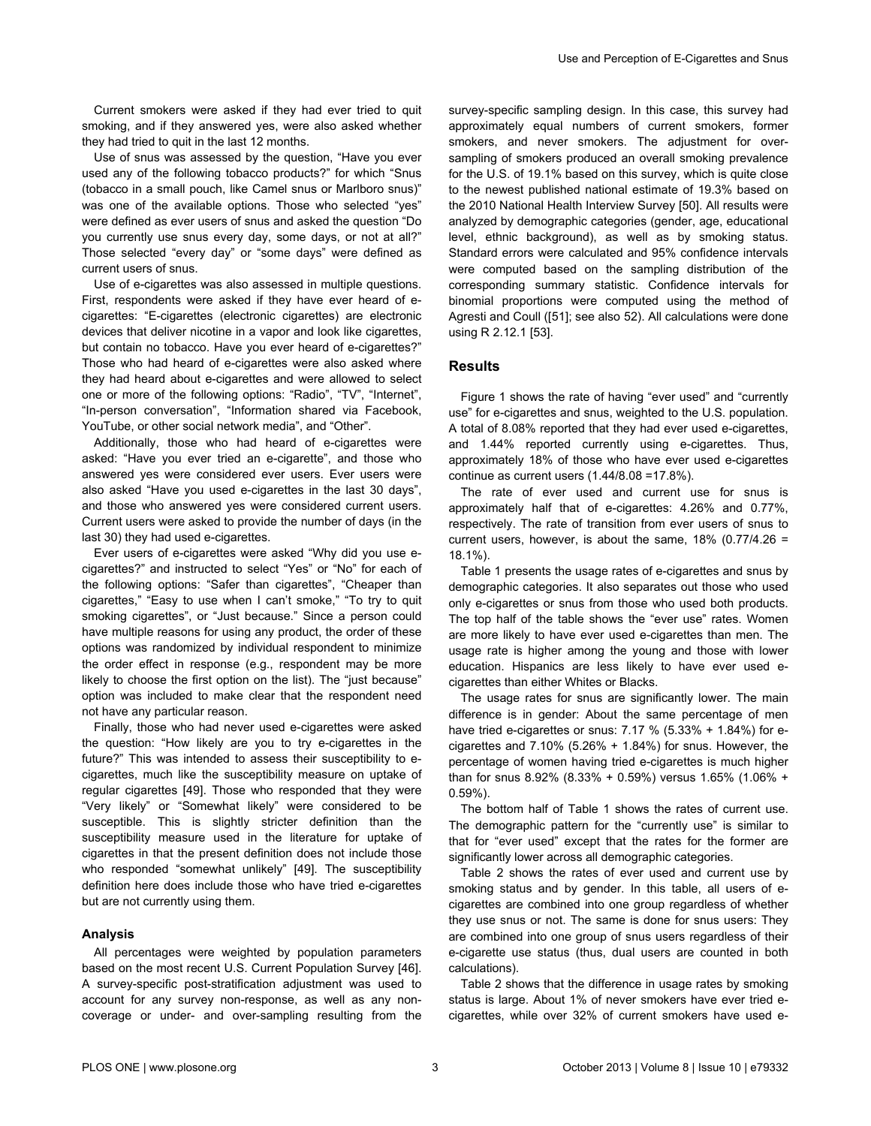Current smokers were asked if they had ever tried to quit smoking, and if they answered yes, were also asked whether they had tried to quit in the last 12 months.

Use of snus was assessed by the question, "Have you ever used any of the following tobacco products?" for which "Snus (tobacco in a small pouch, like Camel snus or Marlboro snus)" was one of the available options. Those who selected "yes" were defined as ever users of snus and asked the question "Do you currently use snus every day, some days, or not at all?" Those selected "every day" or "some days" were defined as current users of snus.

Use of e-cigarettes was also assessed in multiple questions. First, respondents were asked if they have ever heard of ecigarettes: "E-cigarettes (electronic cigarettes) are electronic devices that deliver nicotine in a vapor and look like cigarettes, but contain no tobacco. Have you ever heard of e-cigarettes?" Those who had heard of e-cigarettes were also asked where they had heard about e-cigarettes and were allowed to select one or more of the following options: "Radio", "TV", "Internet", "In-person conversation", "Information shared via Facebook, YouTube, or other social network media", and "Other".

Additionally, those who had heard of e-cigarettes were asked: "Have you ever tried an e-cigarette", and those who answered yes were considered ever users. Ever users were also asked "Have you used e-cigarettes in the last 30 days", and those who answered yes were considered current users. Current users were asked to provide the number of days (in the last 30) they had used e-cigarettes.

Ever users of e-cigarettes were asked "Why did you use ecigarettes?" and instructed to select "Yes" or "No" for each of the following options: "Safer than cigarettes", "Cheaper than cigarettes," "Easy to use when I can't smoke," "To try to quit smoking cigarettes", or "Just because." Since a person could have multiple reasons for using any product, the order of these options was randomized by individual respondent to minimize the order effect in response (e.g., respondent may be more likely to choose the first option on the list). The "just because" option was included to make clear that the respondent need not have any particular reason.

Finally, those who had never used e-cigarettes were asked the question: "How likely are you to try e-cigarettes in the future?" This was intended to assess their susceptibility to ecigarettes, much like the susceptibility measure on uptake of regular cigarettes [\[49](#page-10-0)]. Those who responded that they were "Very likely" or "Somewhat likely" were considered to be susceptible. This is slightly stricter definition than the susceptibility measure used in the literature for uptake of cigarettes in that the present definition does not include those who responded "somewhat unlikely" [\[49\]](#page-10-0). The susceptibility definition here does include those who have tried e-cigarettes but are not currently using them.

#### **Analysis**

All percentages were weighted by population parameters based on the most recent U.S. Current Population Survey [\[46\]](#page-10-0). A survey-specific post-stratification adjustment was used to account for any survey non-response, as well as any noncoverage or under- and over-sampling resulting from the

survey-specific sampling design. In this case, this survey had approximately equal numbers of current smokers, former smokers, and never smokers. The adjustment for oversampling of smokers produced an overall smoking prevalence for the U.S. of 19.1% based on this survey, which is quite close to the newest published national estimate of 19.3% based on the 2010 National Health Interview Survey [[50](#page-10-0)]. All results were analyzed by demographic categories (gender, age, educational level, ethnic background), as well as by smoking status. Standard errors were calculated and 95% confidence intervals were computed based on the sampling distribution of the corresponding summary statistic. Confidence intervals for binomial proportions were computed using the method of Agresti and Coull ([[51](#page-10-0)]; see also [52](#page-10-0)). All calculations were done using R 2.12.1 [\[53](#page-10-0)].

## **Results**

[Figure 1](#page-3-0) shows the rate of having "ever used" and "currently use" for e-cigarettes and snus, weighted to the U.S. population. A total of 8.08% reported that they had ever used e-cigarettes, and 1.44% reported currently using e-cigarettes. Thus, approximately 18% of those who have ever used e-cigarettes continue as current users (1.44/8.08 =17.8%).

The rate of ever used and current use for snus is approximately half that of e-cigarettes: 4.26% and 0.77%, respectively. The rate of transition from ever users of snus to current users, however, is about the same,  $18\%$  (0.77/4.26 = 18.1%).

[Table 1](#page-4-0) presents the usage rates of e-cigarettes and snus by demographic categories. It also separates out those who used only e-cigarettes or snus from those who used both products. The top half of the table shows the "ever use" rates. Women are more likely to have ever used e-cigarettes than men. The usage rate is higher among the young and those with lower education. Hispanics are less likely to have ever used ecigarettes than either Whites or Blacks.

The usage rates for snus are significantly lower. The main difference is in gender: About the same percentage of men have tried e-cigarettes or snus: 7.17 % (5.33% + 1.84%) for ecigarettes and  $7.10\%$  (5.26% + 1.84%) for snus. However, the percentage of women having tried e-cigarettes is much higher than for snus  $8.92\%$  ( $8.33\% + 0.59\%$ ) versus  $1.65\%$  ( $1.06\% +$ 0.59%).

The bottom half of [Table 1](#page-4-0) shows the rates of current use. The demographic pattern for the "currently use" is similar to that for "ever used" except that the rates for the former are significantly lower across all demographic categories.

[Table 2](#page-5-0) shows the rates of ever used and current use by smoking status and by gender. In this table, all users of ecigarettes are combined into one group regardless of whether they use snus or not. The same is done for snus users: They are combined into one group of snus users regardless of their e-cigarette use status (thus, dual users are counted in both calculations).

[Table 2](#page-5-0) shows that the difference in usage rates by smoking status is large. About 1% of never smokers have ever tried ecigarettes, while over 32% of current smokers have used e-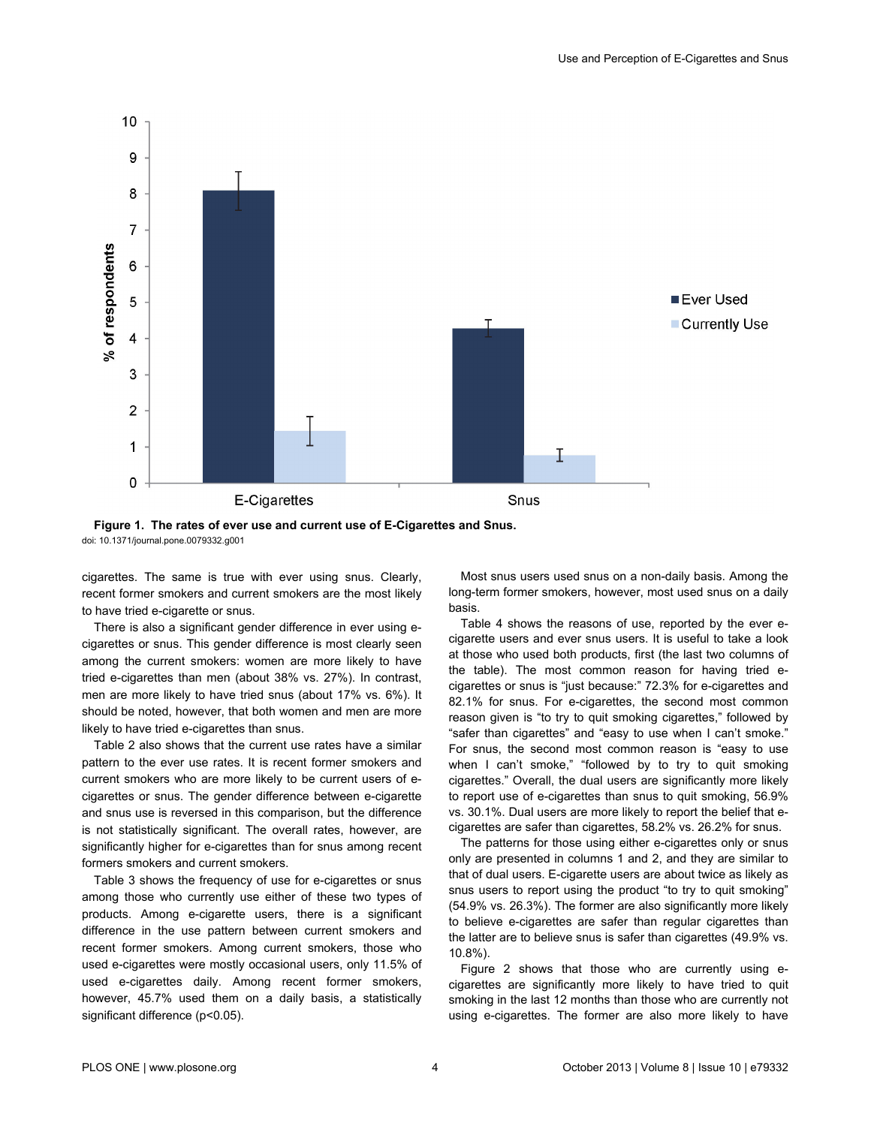<span id="page-3-0"></span>



cigarettes. The same is true with ever using snus. Clearly, recent former smokers and current smokers are the most likely to have tried e-cigarette or snus.

There is also a significant gender difference in ever using ecigarettes or snus. This gender difference is most clearly seen among the current smokers: women are more likely to have tried e-cigarettes than men (about 38% vs. 27%). In contrast, men are more likely to have tried snus (about 17% vs. 6%). It should be noted, however, that both women and men are more likely to have tried e-cigarettes than snus.

[Table 2](#page-5-0) also shows that the current use rates have a similar pattern to the ever use rates. It is recent former smokers and current smokers who are more likely to be current users of ecigarettes or snus. The gender difference between e-cigarette and snus use is reversed in this comparison, but the difference is not statistically significant. The overall rates, however, are significantly higher for e-cigarettes than for snus among recent formers smokers and current smokers.

[Table 3](#page-5-0) shows the frequency of use for e-cigarettes or snus among those who currently use either of these two types of products. Among e-cigarette users, there is a significant difference in the use pattern between current smokers and recent former smokers. Among current smokers, those who used e-cigarettes were mostly occasional users, only 11.5% of used e-cigarettes daily. Among recent former smokers, however, 45.7% used them on a daily basis, a statistically significant difference (p<0.05).

Most snus users used snus on a non-daily basis. Among the long-term former smokers, however, most used snus on a daily basis.

[Table 4](#page-5-0) shows the reasons of use, reported by the ever ecigarette users and ever snus users. It is useful to take a look at those who used both products, first (the last two columns of the table). The most common reason for having tried ecigarettes or snus is "just because:" 72.3% for e-cigarettes and 82.1% for snus. For e-cigarettes, the second most common reason given is "to try to quit smoking cigarettes," followed by "safer than cigarettes" and "easy to use when I can't smoke." For snus, the second most common reason is "easy to use when I can't smoke," "followed by to try to quit smoking cigarettes." Overall, the dual users are significantly more likely to report use of e-cigarettes than snus to quit smoking, 56.9% vs. 30.1%. Dual users are more likely to report the belief that ecigarettes are safer than cigarettes, 58.2% vs. 26.2% for snus.

The patterns for those using either e-cigarettes only or snus only are presented in columns 1 and 2, and they are similar to that of dual users. E-cigarette users are about twice as likely as snus users to report using the product "to try to quit smoking" (54.9% vs. 26.3%). The former are also significantly more likely to believe e-cigarettes are safer than regular cigarettes than the latter are to believe snus is safer than cigarettes (49.9% vs. 10.8%).

[Figure 2](#page-6-0) shows that those who are currently using ecigarettes are significantly more likely to have tried to quit smoking in the last 12 months than those who are currently not using e-cigarettes. The former are also more likely to have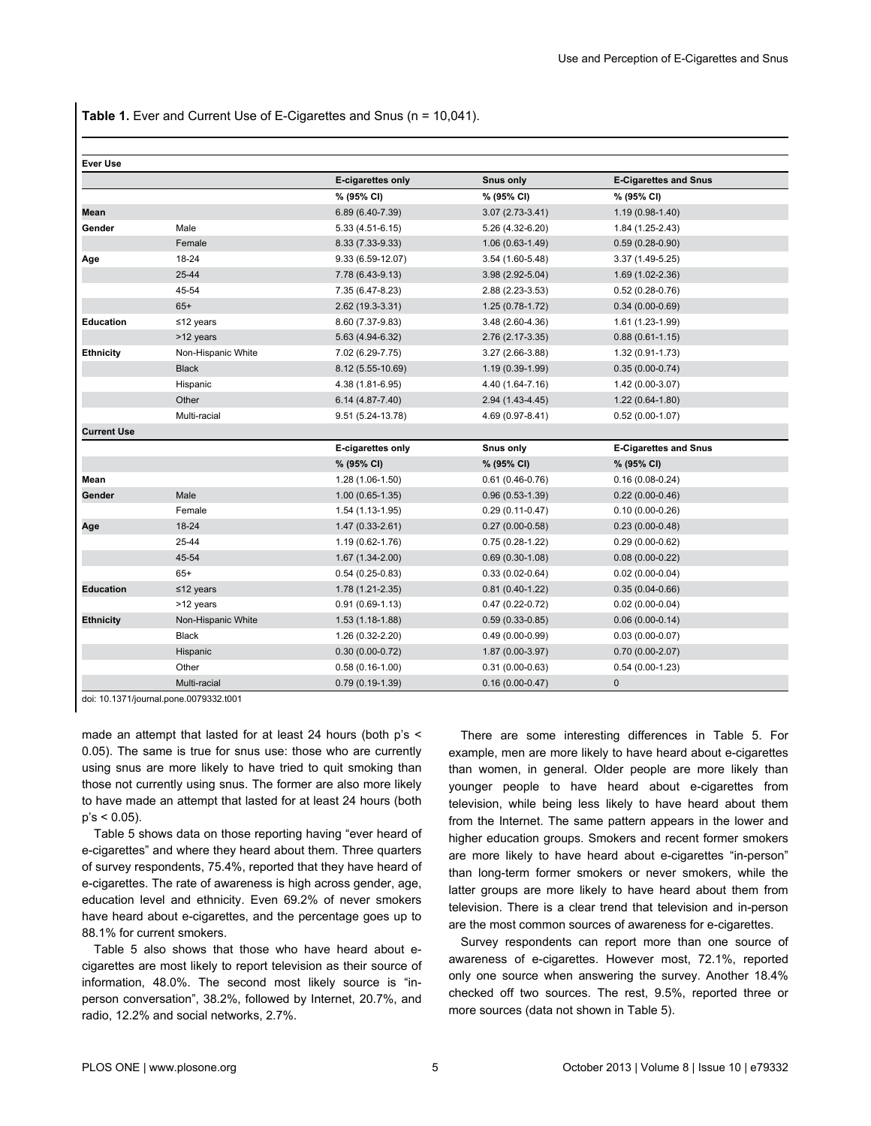<span id="page-4-0"></span>**Table 1.** Ever and Current Use of E-Cigarettes and Snus (n = 10,041).

| <b>Ever Use</b>    |                    |                     |                     |                              |
|--------------------|--------------------|---------------------|---------------------|------------------------------|
|                    |                    | E-cigarettes only   | <b>Snus only</b>    | <b>E-Cigarettes and Snus</b> |
|                    |                    | % (95% CI)          | % (95% CI)          | % (95% CI)                   |
| Mean               |                    | 6.89 (6.40-7.39)    | $3.07(2.73-3.41)$   | $1.19(0.98-1.40)$            |
| Gender             | Male               | $5.33(4.51-6.15)$   | 5.26 (4.32-6.20)    | 1.84 (1.25-2.43)             |
|                    | Female             | 8.33 (7.33-9.33)    | $1.06(0.63-1.49)$   | $0.59(0.28-0.90)$            |
| Age                | 18-24              | $9.33(6.59-12.07)$  | $3.54(1.60-5.48)$   | $3.37(1.49-5.25)$            |
|                    | 25-44              | 7.78 (6.43-9.13)    | 3.98 (2.92-5.04)    | 1.69 (1.02-2.36)             |
|                    | 45-54              | 7.35 (6.47-8.23)    | 2.88 (2.23-3.53)    | $0.52(0.28-0.76)$            |
|                    | $65+$              | 2.62 (19.3-3.31)    | $1.25(0.78-1.72)$   | $0.34(0.00-0.69)$            |
| Education          | $≤12$ years        | 8.60 (7.37-9.83)    | $3.48(2.60-4.36)$   | 1.61 (1.23-1.99)             |
|                    | >12 years          | 5.63 (4.94-6.32)    | 2.76 (2.17-3.35)    | $0.88(0.61-1.15)$            |
| <b>Ethnicity</b>   | Non-Hispanic White | 7.02 (6.29-7.75)    | $3.27(2.66-3.88)$   | 1.32 (0.91-1.73)             |
|                    | <b>Black</b>       | 8.12 (5.55-10.69)   | 1.19 (0.39-1.99)    | $0.35(0.00-0.74)$            |
|                    | Hispanic           | 4.38 (1.81-6.95)    | 4.40 (1.64-7.16)    | $1.42(0.00-3.07)$            |
|                    | Other              | 6.14 (4.87-7.40)    | 2.94 (1.43-4.45)    | $1.22(0.64-1.80)$            |
|                    | Multi-racial       | 9.51 (5.24-13.78)   | 4.69 (0.97-8.41)    | $0.52(0.00-1.07)$            |
| <b>Current Use</b> |                    |                     |                     |                              |
|                    |                    | E-cigarettes only   | Snus only           | <b>E-Cigarettes and Snus</b> |
|                    |                    | % (95% CI)          | % (95% CI)          | % (95% CI)                   |
| Mean               |                    | 1.28 (1.06-1.50)    | $0.61(0.46-0.76)$   | $0.16(0.08-0.24)$            |
| Gender             | Male               | $1.00(0.65-1.35)$   | $0.96(0.53-1.39)$   | $0.22(0.00-0.46)$            |
|                    | Female             | 1.54 (1.13-1.95)    | $0.29(0.11-0.47)$   | $0.10(0.00-0.26)$            |
| Age                | 18-24              | $1.47(0.33 - 2.61)$ | $0.27(0.00-0.58)$   | $0.23(0.00-0.48)$            |
|                    | 25-44              | 1.19 (0.62-1.76)    | $0.75(0.28-1.22)$   | $0.29(0.00-0.62)$            |
|                    | 45-54              | $1.67(1.34 - 2.00)$ | $0.69(0.30-1.08)$   | $0.08(0.00-0.22)$            |
|                    | $65+$              | $0.54(0.25-0.83)$   | $0.33(0.02-0.64)$   | $0.02(0.00-0.04)$            |
| <b>Education</b>   | $≤12$ years        | $1.78(1.21 - 2.35)$ | $0.81(0.40-1.22)$   | $0.35(0.04-0.66)$            |
|                    | >12 years          | $0.91(0.69-1.13)$   | $0.47(0.22-0.72)$   | $0.02(0.00-0.04)$            |
| <b>Ethnicity</b>   | Non-Hispanic White | $1.53(1.18-1.88)$   | $0.59(0.33 - 0.85)$ | $0.06(0.00-0.14)$            |
|                    | <b>Black</b>       | 1.26 (0.32-2.20)    | $0.49(0.00-0.99)$   | $0.03(0.00-0.07)$            |
|                    | Hispanic           | $0.30(0.00-0.72)$   | $1.87(0.00-3.97)$   | $0.70(0.00-2.07)$            |
|                    | Other              | $0.58(0.16-1.00)$   | $0.31(0.00-0.63)$   | $0.54(0.00-1.23)$            |
|                    | Multi-racial       | $0.79(0.19-1.39)$   | $0.16(0.00-0.47)$   | $\pmb{0}$                    |

doi: 10.1371/journal.pone.0079332.t001

made an attempt that lasted for at least 24 hours (both p's < 0.05). The same is true for snus use: those who are currently using snus are more likely to have tried to quit smoking than those not currently using snus. The former are also more likely to have made an attempt that lasted for at least 24 hours (both  $p's < 0.05$ ).

[Table 5](#page-7-0) shows data on those reporting having "ever heard of e-cigarettes" and where they heard about them. Three quarters of survey respondents, 75.4%, reported that they have heard of e-cigarettes. The rate of awareness is high across gender, age, education level and ethnicity. Even 69.2% of never smokers have heard about e-cigarettes, and the percentage goes up to 88.1% for current smokers.

[Table 5](#page-7-0) also shows that those who have heard about ecigarettes are most likely to report television as their source of information, 48.0%. The second most likely source is "inperson conversation", 38.2%, followed by Internet, 20.7%, and radio, 12.2% and social networks, 2.7%.

There are some interesting differences in [Table 5](#page-7-0). For example, men are more likely to have heard about e-cigarettes than women, in general. Older people are more likely than younger people to have heard about e-cigarettes from television, while being less likely to have heard about them from the Internet. The same pattern appears in the lower and higher education groups. Smokers and recent former smokers are more likely to have heard about e-cigarettes "in-person" than long-term former smokers or never smokers, while the latter groups are more likely to have heard about them from television. There is a clear trend that television and in-person are the most common sources of awareness for e-cigarettes.

Survey respondents can report more than one source of awareness of e-cigarettes. However most, 72.1%, reported only one source when answering the survey. Another 18.4% checked off two sources. The rest, 9.5%, reported three or more sources (data not shown in [Table 5\)](#page-7-0).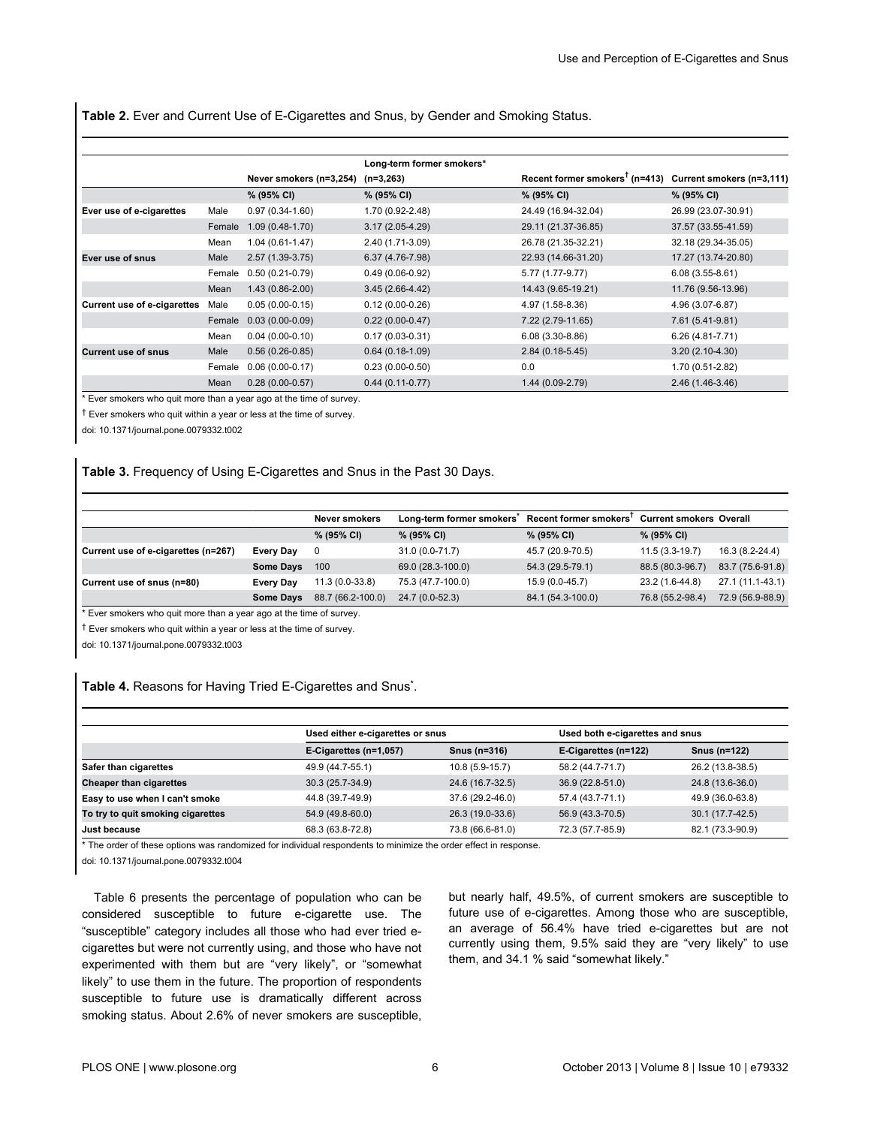<span id="page-5-0"></span>**Table 2.** Ever and Current Use of E-Cigarettes and Snus, by Gender and Smoking Status.

|                                    |        |                         | Long-term former smokers* |                                                                                   |                     |
|------------------------------------|--------|-------------------------|---------------------------|-----------------------------------------------------------------------------------|---------------------|
|                                    |        | Never smokers (n=3,254) | $(n=3,263)$               | Recent former smokers <sup><math>T</math></sup> (n=413) Current smokers (n=3,111) |                     |
|                                    |        | % (95% CI)              | % (95% CI)                | % (95% CI)                                                                        | % (95% CI)          |
| Ever use of e-cigarettes           | Male   | $0.97(0.34-1.60)$       | 1.70 (0.92-2.48)          | 24.49 (16.94-32.04)                                                               | 26.99 (23.07-30.91) |
|                                    | Female | $1.09(0.48-1.70)$       | $3.17(2.05-4.29)$         | 29.11 (21.37-36.85)                                                               | 37.57 (33.55-41.59) |
|                                    | Mean   | $1.04(0.61-1.47)$       | 2.40 (1.71-3.09)          | 26.78 (21.35-32.21)                                                               | 32.18 (29.34-35.05) |
| Ever use of snus                   | Male   | $2.57(1.39-3.75)$       | 6.37 (4.76-7.98)          | 22.93 (14.66-31.20)                                                               | 17.27 (13.74-20.80) |
|                                    | Female | $0.50(0.21-0.79)$       | $0.49(0.06-0.92)$         | 5.77 (1.77-9.77)                                                                  | $6.08(3.55-8.61)$   |
|                                    | Mean   | $1.43(0.86 - 2.00)$     | $3.45(2.66-4.42)$         | 14.43 (9.65-19.21)                                                                | 11.76 (9.56-13.96)  |
| <b>Current use of e-cigarettes</b> | Male   | $0.05(0.00-0.15)$       | $0.12(0.00-0.26)$         | 4.97 (1.58-8.36)                                                                  | 4.96 (3.07-6.87)    |
|                                    | Female | $0.03(0.00-0.09)$       | $0.22(0.00-0.47)$         | 7.22 (2.79-11.65)                                                                 | 7.61 (5.41-9.81)    |
|                                    | Mean   | $0.04(0.00-0.10)$       | $0.17(0.03-0.31)$         | $6.08(3.30-8.86)$                                                                 | $6.26(4.81 - 7.71)$ |
| <b>Current use of snus</b>         | Male   | $0.56(0.26-0.85)$       | $0.64(0.18-1.09)$         | $2.84(0.18-5.45)$                                                                 | $3.20(2.10-4.30)$   |
|                                    | Female | $0.06(0.00-0.17)$       | $0.23(0.00-0.50)$         | 0.0                                                                               | 1.70 (0.51-2.82)    |
|                                    | Mean   | $0.28(0.00-0.57)$       | $0.44(0.11-0.77)$         | $1.44(0.09-2.79)$                                                                 | 2.46 (1.46-3.46)    |

\* Ever smokers who quit more than a year ago at the time of survey.

† Ever smokers who quit within a year or less at the time of survey.

doi: 10.1371/journal.pone.0079332.t002

#### **Table 3.** Frequency of Using E-Cigarettes and Snus in the Past 30 Days.

|                                     |                  | <b>Never smokers</b> | Long-term former smokers <sup>®</sup> | <b>Recent former smokers</b> | <b>Current smokers Overall</b> |                  |
|-------------------------------------|------------------|----------------------|---------------------------------------|------------------------------|--------------------------------|------------------|
|                                     |                  | % (95% CI)           | % (95% CI)                            | $% (95\% CI)$                | % (95% CI)                     |                  |
| Current use of e-cigarettes (n=267) | <b>Every Day</b> |                      | 31.0 (0.0-71.7)                       | 45.7 (20.9-70.5)             | $11.5(3.3-19.7)$               | 16.3 (8.2-24.4)  |
|                                     | <b>Some Days</b> | 100                  | 69.0 (28.3-100.0)                     | 54.3 (29.5-79.1)             | 88.5 (80.3-96.7)               | 83.7 (75.6-91.8) |
| Current use of snus (n=80)          | Every Day        | $11.3(0.0-33.8)$     | 75.3 (47.7-100.0)                     | 15.9 (0.0-45.7)              | 23.2 (1.6-44.8)                | 27.1 (11.1-43.1) |
|                                     | <b>Some Days</b> | 88.7 (66.2-100.0)    | 24.7 (0.0-52.3)                       | 84.1 (54.3-100.0)            | 76.8 (55.2-98.4)               | 72.9 (56.9-88.9) |

\* Ever smokers who quit more than a year ago at the time of survey.

† Ever smokers who quit within a year or less at the time of survey.

doi: 10.1371/journal.pone.0079332.t003

#### **Table 4.** Reasons for Having Tried E-Cigarettes and Snus**\*** .

|                                   |                        |                                  |                      | Used both e-cigarettes and snus |  |  |
|-----------------------------------|------------------------|----------------------------------|----------------------|---------------------------------|--|--|
|                                   |                        | Used either e-cigarettes or snus |                      |                                 |  |  |
|                                   | E-Cigarettes (n=1,057) | Snus (n=316)                     | E-Cigarettes (n=122) | Snus (n=122)                    |  |  |
| Safer than cigarettes             | 49.9 (44.7-55.1)       | 10.8 (5.9-15.7)                  | 58.2 (44.7-71.7)     | 26.2 (13.8-38.5)                |  |  |
| <b>Cheaper than cigarettes</b>    | 30.3 (25.7-34.9)       | 24.6 (16.7-32.5)                 | 36.9 (22.8-51.0)     | 24.8 (13.6-36.0)                |  |  |
| Easy to use when I can't smoke    | 44.8 (39.7-49.9)       | 37.6 (29.2-46.0)                 | 57.4 (43.7-71.1)     | 49.9 (36.0-63.8)                |  |  |
| To try to quit smoking cigarettes | 54.9 (49.8-60.0)       | 26.3 (19.0-33.6)                 | 56.9 (43.3-70.5)     | 30.1 (17.7-42.5)                |  |  |
| Just because                      | 68.3 (63.8-72.8)       | 73.8 (66.6-81.0)                 | 72.3 (57.7-85.9)     | 82.1 (73.3-90.9)                |  |  |

\* The order of these options was randomized for individual respondents to minimize the order effect in response.

doi: 10.1371/journal.pone.0079332.t004

[Table 6](#page-7-0) presents the percentage of population who can be considered susceptible to future e-cigarette use. The "susceptible" category includes all those who had ever tried ecigarettes but were not currently using, and those who have not experimented with them but are "very likely", or "somewhat likely" to use them in the future. The proportion of respondents susceptible to future use is dramatically different across smoking status. About 2.6% of never smokers are susceptible,

but nearly half, 49.5%, of current smokers are susceptible to future use of e-cigarettes. Among those who are susceptible, an average of 56.4% have tried e-cigarettes but are not currently using them, 9.5% said they are "very likely" to use them, and 34.1 % said "somewhat likely."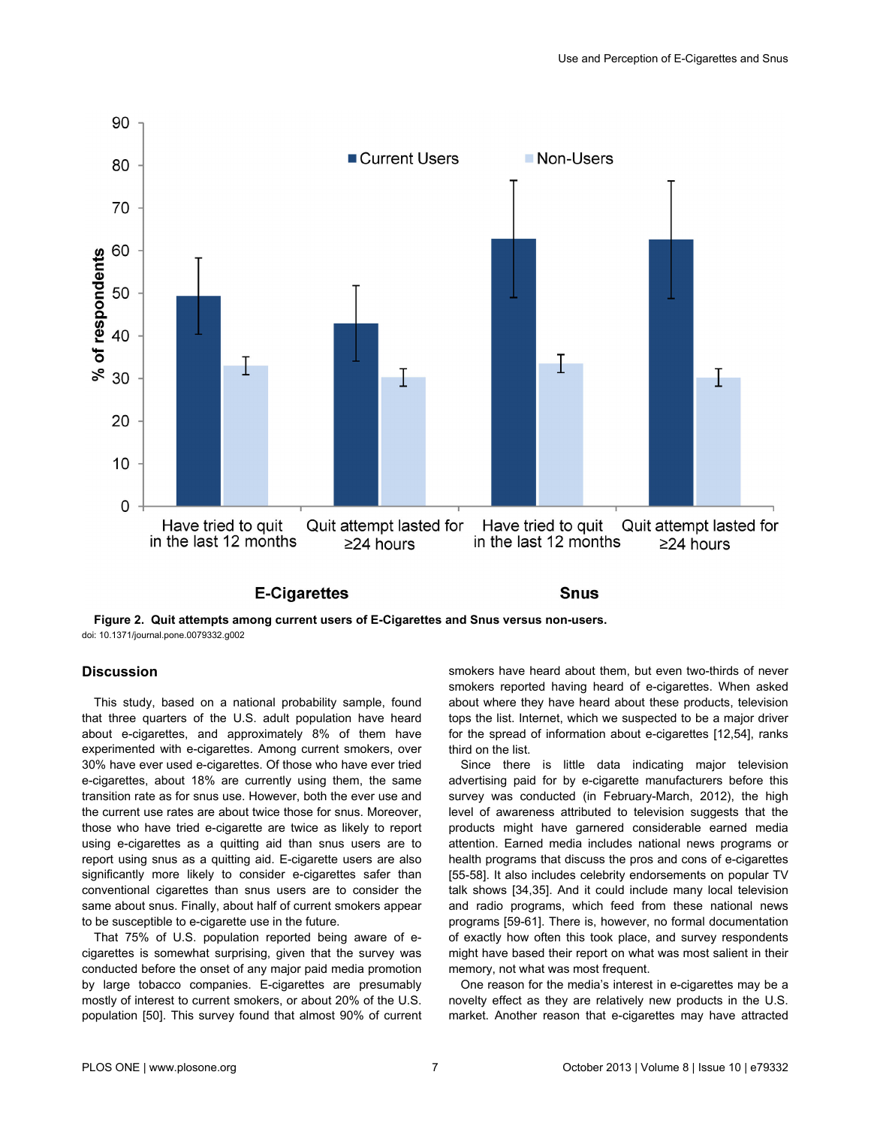<span id="page-6-0"></span>

# **E-Cigarettes**

**Snus** 

**Figure 2. Quit attempts among current users of E-Cigarettes and Snus versus non-users.** doi: 10.1371/journal.pone.0079332.g002

# **Discussion**

This study, based on a national probability sample, found that three quarters of the U.S. adult population have heard about e-cigarettes, and approximately 8% of them have experimented with e-cigarettes. Among current smokers, over 30% have ever used e-cigarettes. Of those who have ever tried e-cigarettes, about 18% are currently using them, the same transition rate as for snus use. However, both the ever use and the current use rates are about twice those for snus. Moreover, those who have tried e-cigarette are twice as likely to report using e-cigarettes as a quitting aid than snus users are to report using snus as a quitting aid. E-cigarette users are also significantly more likely to consider e-cigarettes safer than conventional cigarettes than snus users are to consider the same about snus. Finally, about half of current smokers appear to be susceptible to e-cigarette use in the future.

That 75% of U.S. population reported being aware of ecigarettes is somewhat surprising, given that the survey was conducted before the onset of any major paid media promotion by large tobacco companies. E-cigarettes are presumably mostly of interest to current smokers, or about 20% of the U.S. population [[50](#page-10-0)]. This survey found that almost 90% of current smokers have heard about them, but even two-thirds of never smokers reported having heard of e-cigarettes. When asked about where they have heard about these products, television tops the list. Internet, which we suspected to be a major driver for the spread of information about e-cigarettes [\[12,](#page-9-0)[54](#page-10-0)], ranks third on the list.

Since there is little data indicating major television advertising paid for by e-cigarette manufacturers before this survey was conducted (in February-March, 2012), the high level of awareness attributed to television suggests that the products might have garnered considerable earned media attention. Earned media includes national news programs or health programs that discuss the pros and cons of e-cigarettes [[55-58\]](#page-10-0). It also includes celebrity endorsements on popular TV talk shows [\[34,35\]](#page-10-0). And it could include many local television and radio programs, which feed from these national news programs [[59](#page-10-0)-[61](#page-11-0)]. There is, however, no formal documentation of exactly how often this took place, and survey respondents might have based their report on what was most salient in their memory, not what was most frequent.

One reason for the media's interest in e-cigarettes may be a novelty effect as they are relatively new products in the U.S. market. Another reason that e-cigarettes may have attracted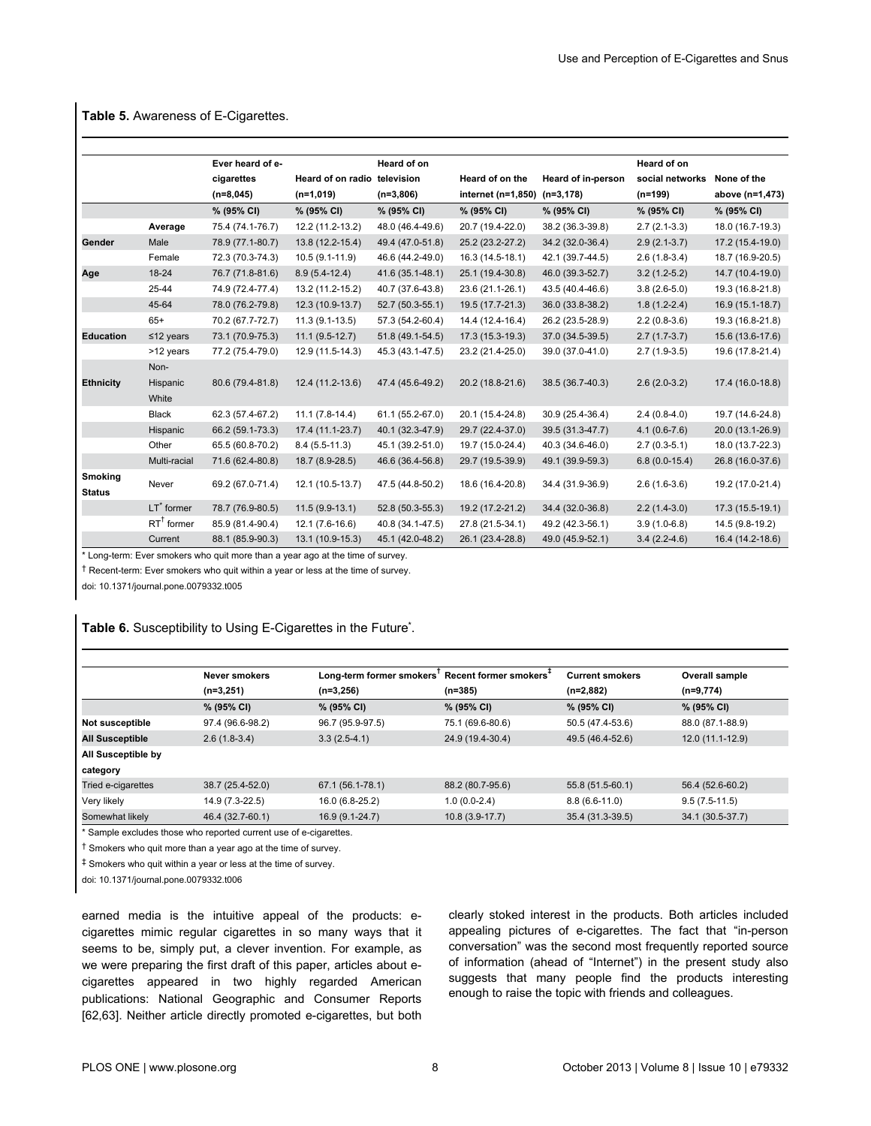|                          |                       | Ever heard of e- |                              | Heard of on      |                    |                    | Heard of on      |                  |
|--------------------------|-----------------------|------------------|------------------------------|------------------|--------------------|--------------------|------------------|------------------|
|                          |                       | cigarettes       | Heard of on radio television |                  | Heard of on the    | Heard of in-person | social networks  | None of the      |
|                          |                       | $(n=8,045)$      | $(n=1,019)$                  | $(n=3,806)$      | internet (n=1,850) | $(n=3, 178)$       | (n=199)          | above (n=1,473)  |
|                          |                       | % (95% CI)       | % (95% CI)                   | % (95% CI)       | % (95% CI)         | % (95% CI)         | % (95% CI)       | % (95% CI)       |
|                          | Average               | 75.4 (74.1-76.7) | 12.2 (11.2-13.2)             | 48.0 (46.4-49.6) | 20.7 (19.4-22.0)   | 38.2 (36.3-39.8)   | $2.7(2.1-3.3)$   | 18.0 (16.7-19.3) |
| Gender                   | Male                  | 78.9 (77.1-80.7) | 13.8 (12.2-15.4)             | 49.4 (47.0-51.8) | 25.2 (23.2-27.2)   | 34.2 (32.0-36.4)   | $2.9(2.1-3.7)$   | 17.2 (15.4-19.0) |
|                          | Female                | 72.3 (70.3-74.3) | 10.5 (9.1-11.9)              | 46.6 (44.2-49.0) | 16.3 (14.5-18.1)   | 42.1 (39.7-44.5)   | $2.6(1.8-3.4)$   | 18.7 (16.9-20.5) |
| Age                      | $18 - 24$             | 76.7 (71.8-81.6) | $8.9(5.4-12.4)$              | 41.6 (35.1-48.1) | 25.1 (19.4-30.8)   | 46.0 (39.3-52.7)   | $3.2(1.2-5.2)$   | 14.7 (10.4-19.0) |
|                          | 25-44                 | 74.9 (72.4-77.4) | 13.2 (11.2-15.2)             | 40.7 (37.6-43.8) | 23.6 (21.1-26.1)   | 43.5 (40.4-46.6)   | $3.8(2.6-5.0)$   | 19.3 (16.8-21.8) |
|                          | 45-64                 | 78.0 (76.2-79.8) | 12.3 (10.9-13.7)             | 52.7 (50.3-55.1) | 19.5 (17.7-21.3)   | 36.0 (33.8-38.2)   | $1.8(1.2-2.4)$   | 16.9 (15.1-18.7) |
|                          | $65+$                 | 70.2 (67.7-72.7) | $11.3(9.1-13.5)$             | 57.3 (54.2-60.4) | 14.4 (12.4-16.4)   | 26.2 (23.5-28.9)   | $2.2(0.8-3.6)$   | 19.3 (16.8-21.8) |
| <b>Education</b>         | $≤12$ years           | 73.1 (70.9-75.3) | $11.1 (9.5 - 12.7)$          | 51.8 (49.1-54.5) | 17.3 (15.3-19.3)   | 37.0 (34.5-39.5)   | $2.7(1.7-3.7)$   | 15.6 (13.6-17.6) |
|                          | >12 years             | 77.2 (75.4-79.0) | 12.9 (11.5-14.3)             | 45.3 (43.1-47.5) | 23.2 (21.4-25.0)   | 39.0 (37.0-41.0)   | $2.7(1.9-3.5)$   | 19.6 (17.8-21.4) |
|                          | Non-                  |                  |                              |                  |                    |                    |                  |                  |
| <b>Ethnicity</b>         | Hispanic              | 80.6 (79.4-81.8) | 12.4 (11.2-13.6)             | 47.4 (45.6-49.2) | 20.2 (18.8-21.6)   | 38.5 (36.7-40.3)   | $2.6(2.0-3.2)$   | 17.4 (16.0-18.8) |
|                          | White                 |                  |                              |                  |                    |                    |                  |                  |
|                          | <b>Black</b>          | 62.3 (57.4-67.2) | $11.1 (7.8-14.4)$            | 61.1 (55.2-67.0) | 20.1 (15.4-24.8)   | 30.9 (25.4-36.4)   | $2.4(0.8-4.0)$   | 19.7 (14.6-24.8) |
|                          | Hispanic              | 66.2 (59.1-73.3) | 17.4 (11.1-23.7)             | 40.1 (32.3-47.9) | 29.7 (22.4-37.0)   | 39.5 (31.3-47.7)   | $4.1(0.6 - 7.6)$ | 20.0 (13.1-26.9) |
|                          | Other                 | 65.5 (60.8-70.2) | $8.4(5.5-11.3)$              | 45.1 (39.2-51.0) | 19.7 (15.0-24.4)   | 40.3 (34.6-46.0)   | $2.7(0.3-5.1)$   | 18.0 (13.7-22.3) |
|                          | Multi-racial          | 71.6 (62.4-80.8) | 18.7 (8.9-28.5)              | 46.6 (36.4-56.8) | 29.7 (19.5-39.9)   | 49.1 (39.9-59.3)   | $6.8(0.0-15.4)$  | 26.8 (16.0-37.6) |
| Smoking<br><b>Status</b> | Never                 | 69.2 (67.0-71.4) | 12.1 (10.5-13.7)             | 47.5 (44.8-50.2) | 18.6 (16.4-20.8)   | 34.4 (31.9-36.9)   | $2.6(1.6-3.6)$   | 19.2 (17.0-21.4) |
|                          | $LT^*$ former         | 78.7 (76.9-80.5) | $11.5(9.9-13.1)$             | 52.8 (50.3-55.3) | 19.2 (17.2-21.2)   | 34.4 (32.0-36.8)   | $2.2(1.4-3.0)$   | 17.3 (15.5-19.1) |
|                          | $RT^{\dagger}$ former | 85.9 (81.4-90.4) | $12.1(7.6-16.6)$             | 40.8 (34.1-47.5) | 27.8 (21.5-34.1)   | 49.2 (42.3-56.1)   | $3.9(1.0-6.8)$   | 14.5 (9.8-19.2)  |
|                          | Current               | 88.1 (85.9-90.3) | 13.1 (10.9-15.3)             | 45.1 (42.0-48.2) | 26.1 (23.4-28.8)   | 49.0 (45.9-52.1)   | $3.4(2.2 - 4.6)$ | 16.4 (14.2-18.6) |

# <span id="page-7-0"></span>**Table 5.** Awareness of E-Cigarettes.

\* Long-term: Ever smokers who quit more than a year ago at the time of survey.

† Recent-term: Ever smokers who quit within a year or less at the time of survey.

doi: 10.1371/journal.pone.0079332.t005

#### **Table 6.** Susceptibility to Using E-Cigarettes in the Future**\*** .

|                    | <b>Never smokers</b> | Long-term former smokers' Recent former smokers <sup>+</sup> |                  | <b>Current smokers</b> | <b>Overall sample</b> |
|--------------------|----------------------|--------------------------------------------------------------|------------------|------------------------|-----------------------|
|                    | $(n=3,251)$          | $(n=3,256)$                                                  | $(n=385)$        | $(n=2,882)$            | $(n=9,774)$           |
|                    | % (95% CI)           | % (95% CI)                                                   | % (95% CI)       | % (95% CI)             | % (95% CI)            |
| Not susceptible    | 97.4 (96.6-98.2)     | 96.7 (95.9-97.5)                                             | 75.1 (69.6-80.6) | 50.5 (47.4-53.6)       | 88.0 (87.1-88.9)      |
| All Susceptible    | $2.6(1.8-3.4)$       | $3.3(2.5-4.1)$                                               | 24.9 (19.4-30.4) | 49.5 (46.4-52.6)       | $12.0(11.1-12.9)$     |
| All Susceptible by |                      |                                                              |                  |                        |                       |
| category           |                      |                                                              |                  |                        |                       |
| Tried e-cigarettes | 38.7 (25.4-52.0)     | 67.1 (56.1-78.1)                                             | 88.2 (80.7-95.6) | 55.8 (51.5-60.1)       | 56.4 (52.6-60.2)      |
| Very likely        | 14.9 (7.3-22.5)      | 16.0 (6.8-25.2)                                              | $1.0(0.0-2.4)$   | $8.8(6.6-11.0)$        | $9.5(7.5-11.5)$       |
| Somewhat likely    | 46.4 (32.7-60.1)     | 16.9 (9.1-24.7)                                              | $10.8(3.9-17.7)$ | 35.4 (31.3-39.5)       | 34.1 (30.5-37.7)      |

\* Sample excludes those who reported current use of e-cigarettes.

† Smokers who quit more than a year ago at the time of survey.

‡ Smokers who quit within a year or less at the time of survey.

doi: 10.1371/journal.pone.0079332.t006

earned media is the intuitive appeal of the products: ecigarettes mimic regular cigarettes in so many ways that it seems to be, simply put, a clever invention. For example, as we were preparing the first draft of this paper, articles about ecigarettes appeared in two highly regarded American publications: National Geographic and Consumer Reports [[62](#page-11-0),[63](#page-11-0)]. Neither article directly promoted e-cigarettes, but both

clearly stoked interest in the products. Both articles included appealing pictures of e-cigarettes. The fact that "in-person conversation" was the second most frequently reported source of information (ahead of "Internet") in the present study also suggests that many people find the products interesting enough to raise the topic with friends and colleagues.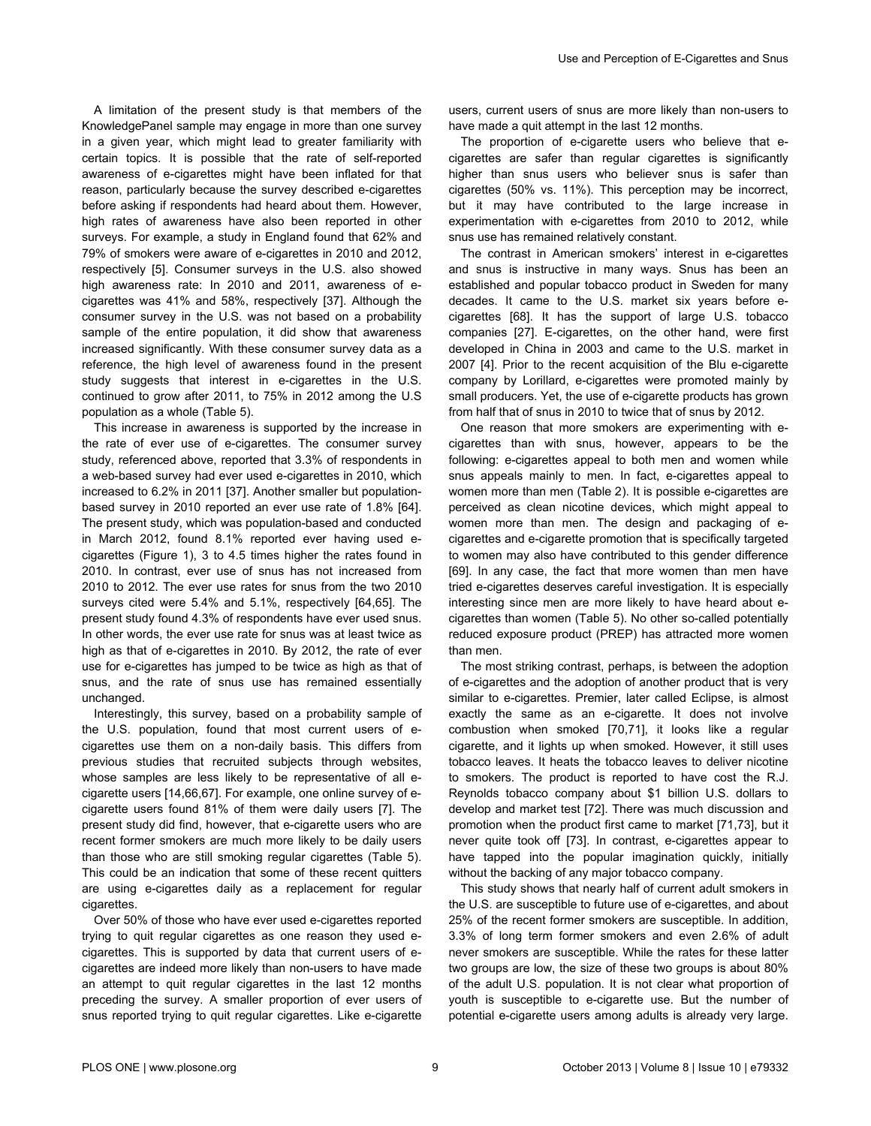A limitation of the present study is that members of the KnowledgePanel sample may engage in more than one survey in a given year, which might lead to greater familiarity with certain topics. It is possible that the rate of self-reported awareness of e-cigarettes might have been inflated for that reason, particularly because the survey described e-cigarettes before asking if respondents had heard about them. However, high rates of awareness have also been reported in other surveys. For example, a study in England found that 62% and 79% of smokers were aware of e-cigarettes in 2010 and 2012, respectively [\[5\]](#page-9-0). Consumer surveys in the U.S. also showed high awareness rate: In 2010 and 2011, awareness of ecigarettes was 41% and 58%, respectively [[37](#page-10-0)]. Although the consumer survey in the U.S. was not based on a probability sample of the entire population, it did show that awareness increased significantly. With these consumer survey data as a reference, the high level of awareness found in the present study suggests that interest in e-cigarettes in the U.S. continued to grow after 2011, to 75% in 2012 among the U.S population as a whole [\(Table 5](#page-7-0)).

This increase in awareness is supported by the increase in the rate of ever use of e-cigarettes. The consumer survey study, referenced above, reported that 3.3% of respondents in a web-based survey had ever used e-cigarettes in 2010, which increased to 6.2% in 2011 [\[37\]](#page-10-0). Another smaller but populationbased survey in 2010 reported an ever use rate of 1.8% [\[64\]](#page-11-0). The present study, which was population-based and conducted in March 2012, found 8.1% reported ever having used ecigarettes ([Figure 1](#page-3-0)), 3 to 4.5 times higher the rates found in 2010. In contrast, ever use of snus has not increased from 2010 to 2012. The ever use rates for snus from the two 2010 surveys cited were 5.4% and 5.1%, respectively [\[64,65](#page-11-0)]. The present study found 4.3% of respondents have ever used snus. In other words, the ever use rate for snus was at least twice as high as that of e-cigarettes in 2010. By 2012, the rate of ever use for e-cigarettes has jumped to be twice as high as that of snus, and the rate of snus use has remained essentially unchanged.

Interestingly, this survey, based on a probability sample of the U.S. population, found that most current users of ecigarettes use them on a non-daily basis. This differs from previous studies that recruited subjects through websites, whose samples are less likely to be representative of all ecigarette users [\[14,](#page-9-0)[66](#page-11-0),[67](#page-11-0)]. For example, one online survey of ecigarette users found 81% of them were daily users [[7](#page-9-0)]. The present study did find, however, that e-cigarette users who are recent former smokers are much more likely to be daily users than those who are still smoking regular cigarettes ([Table 5](#page-7-0)). This could be an indication that some of these recent quitters are using e-cigarettes daily as a replacement for regular cigarettes.

Over 50% of those who have ever used e-cigarettes reported trying to quit regular cigarettes as one reason they used ecigarettes. This is supported by data that current users of ecigarettes are indeed more likely than non-users to have made an attempt to quit regular cigarettes in the last 12 months preceding the survey. A smaller proportion of ever users of snus reported trying to quit regular cigarettes. Like e-cigarette

users, current users of snus are more likely than non-users to have made a quit attempt in the last 12 months.

The proportion of e-cigarette users who believe that ecigarettes are safer than regular cigarettes is significantly higher than snus users who believer snus is safer than cigarettes (50% vs. 11%). This perception may be incorrect, but it may have contributed to the large increase in experimentation with e-cigarettes from 2010 to 2012, while snus use has remained relatively constant.

The contrast in American smokers' interest in e-cigarettes and snus is instructive in many ways. Snus has been an established and popular tobacco product in Sweden for many decades. It came to the U.S. market six years before ecigarettes [[68](#page-11-0)]. It has the support of large U.S. tobacco companies [[27](#page-10-0)]. E-cigarettes, on the other hand, were first developed in China in 2003 and came to the U.S. market in 2007 [\[4](#page-9-0)]. Prior to the recent acquisition of the Blu e-cigarette company by Lorillard, e-cigarettes were promoted mainly by small producers. Yet, the use of e-cigarette products has grown from half that of snus in 2010 to twice that of snus by 2012.

One reason that more smokers are experimenting with ecigarettes than with snus, however, appears to be the following: e-cigarettes appeal to both men and women while snus appeals mainly to men. In fact, e-cigarettes appeal to women more than men ([Table 2](#page-5-0)). It is possible e-cigarettes are perceived as clean nicotine devices, which might appeal to women more than men. The design and packaging of ecigarettes and e-cigarette promotion that is specifically targeted to women may also have contributed to this gender difference [[69](#page-11-0)]. In any case, the fact that more women than men have tried e-cigarettes deserves careful investigation. It is especially interesting since men are more likely to have heard about ecigarettes than women [\(Table 5\)](#page-7-0). No other so-called potentially reduced exposure product (PREP) has attracted more women than men.

The most striking contrast, perhaps, is between the adoption of e-cigarettes and the adoption of another product that is very similar to e-cigarettes. Premier, later called Eclipse, is almost exactly the same as an e-cigarette. It does not involve combustion when smoked [[70](#page-11-0),[71](#page-11-0)], it looks like a regular cigarette, and it lights up when smoked. However, it still uses tobacco leaves. It heats the tobacco leaves to deliver nicotine to smokers. The product is reported to have cost the R.J. Reynolds tobacco company about \$1 billion U.S. dollars to develop and market test [\[72\]](#page-11-0). There was much discussion and promotion when the product first came to market [[71,73\]](#page-11-0), but it never quite took off [[73](#page-11-0)]. In contrast, e-cigarettes appear to have tapped into the popular imagination quickly, initially without the backing of any major tobacco company.

This study shows that nearly half of current adult smokers in the U.S. are susceptible to future use of e-cigarettes, and about 25% of the recent former smokers are susceptible. In addition, 3.3% of long term former smokers and even 2.6% of adult never smokers are susceptible. While the rates for these latter two groups are low, the size of these two groups is about 80% of the adult U.S. population. It is not clear what proportion of youth is susceptible to e-cigarette use. But the number of potential e-cigarette users among adults is already very large.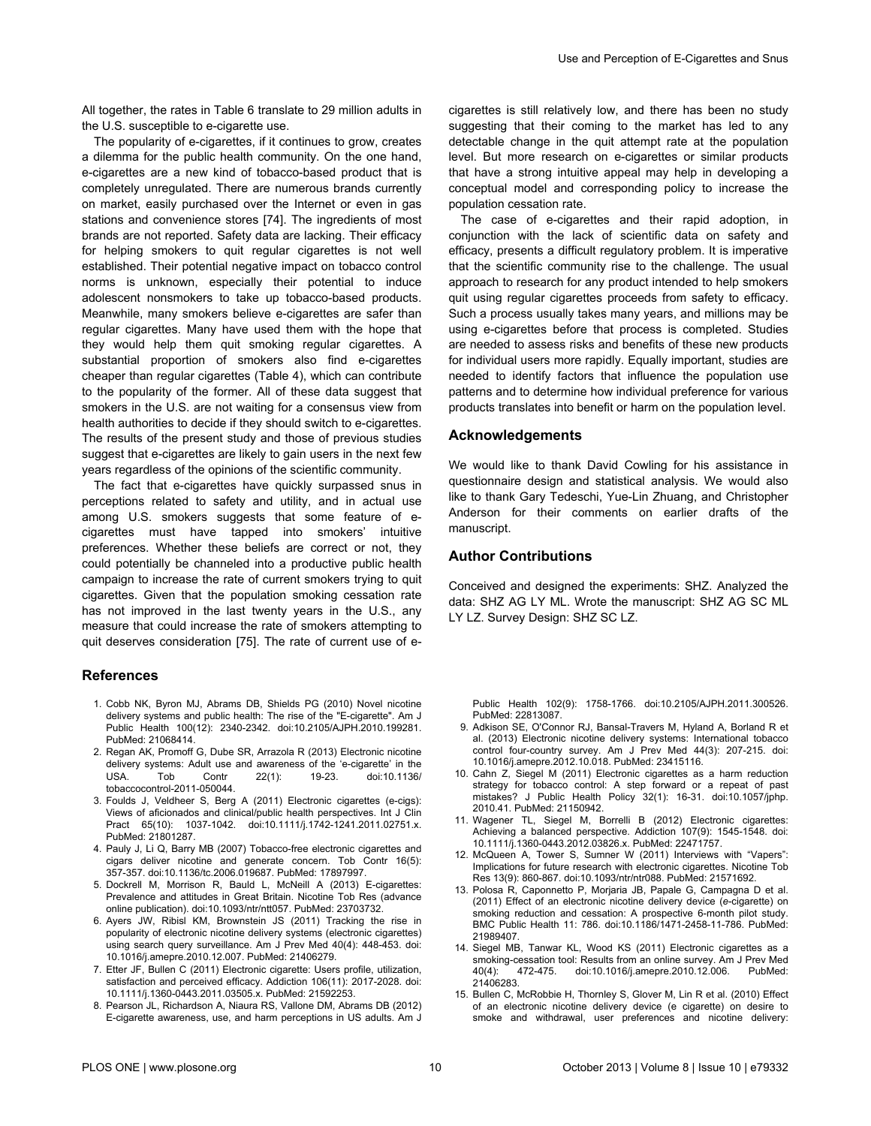<span id="page-9-0"></span>All together, the rates in [Table 6](#page-7-0) translate to 29 million adults in the U.S. susceptible to e-cigarette use.

The popularity of e-cigarettes, if it continues to grow, creates a dilemma for the public health community. On the one hand, e-cigarettes are a new kind of tobacco-based product that is completely unregulated. There are numerous brands currently on market, easily purchased over the Internet or even in gas stations and convenience stores [\[74\]](#page-11-0). The ingredients of most brands are not reported. Safety data are lacking. Their efficacy for helping smokers to quit regular cigarettes is not well established. Their potential negative impact on tobacco control norms is unknown, especially their potential to induce adolescent nonsmokers to take up tobacco-based products. Meanwhile, many smokers believe e-cigarettes are safer than regular cigarettes. Many have used them with the hope that they would help them quit smoking regular cigarettes. A substantial proportion of smokers also find e-cigarettes cheaper than regular cigarettes ([Table 4](#page-5-0)), which can contribute to the popularity of the former. All of these data suggest that smokers in the U.S. are not waiting for a consensus view from health authorities to decide if they should switch to e-cigarettes. The results of the present study and those of previous studies suggest that e-cigarettes are likely to gain users in the next few years regardless of the opinions of the scientific community.

The fact that e-cigarettes have quickly surpassed snus in perceptions related to safety and utility, and in actual use among U.S. smokers suggests that some feature of ecigarettes must have tapped into smokers' intuitive preferences. Whether these beliefs are correct or not, they could potentially be channeled into a productive public health campaign to increase the rate of current smokers trying to quit cigarettes. Given that the population smoking cessation rate has not improved in the last twenty years in the U.S., any measure that could increase the rate of smokers attempting to quit deserves consideration [\[75\]](#page-11-0). The rate of current use of e-

### **References**

- 1. Cobb NK, Byron MJ, Abrams DB, Shields PG (2010) Novel nicotine delivery systems and public health: The rise of the "E-cigarette". Am J Public Health 100(12): 2340-2342. doi:[10.2105/AJPH.2010.199281.](http://dx.doi.org/10.2105/AJPH.2010.199281) PubMed: [21068414.](http://www.ncbi.nlm.nih.gov/pubmed/21068414)
- 2. Regan AK, Promoff G, Dube SR, Arrazola R (2013) Electronic nicotine delivery systems: Adult use and awareness of the 'e-cigarette' in the USA. Tob Contr 22(1): 19-23. doi[:10.1136/](http://dx.doi.org/10.1136/tobaccocontrol-2011-050044) [tobaccocontrol-2011-050044.](http://dx.doi.org/10.1136/tobaccocontrol-2011-050044)
- 3. Foulds J, Veldheer S, Berg A (2011) Electronic cigarettes (e-cigs): Views of aficionados and clinical/public health perspectives. Int J Clin Pract 65(10): 1037-1042. doi:[10.1111/j.1742-1241.2011.02751.x.](http://dx.doi.org/10.1111/j.1742-1241.2011.02751.x) PubMed: [21801287.](http://www.ncbi.nlm.nih.gov/pubmed/21801287)
- 4. Pauly J, Li Q, Barry MB (2007) Tobacco-free electronic cigarettes and cigars deliver nicotine and generate concern. Tob Contr 16(5): 357-357. doi[:10.1136/tc.2006.019687.](http://dx.doi.org/10.1136/tc.2006.019687) PubMed: [17897997.](http://www.ncbi.nlm.nih.gov/pubmed/17897997)
- 5. Dockrell M, Morrison R, Bauld L, McNeill A (2013) E-cigarettes: Prevalence and attitudes in Great Britain. Nicotine Tob Res (advance online publication). doi[:10.1093/ntr/ntt057](http://dx.doi.org/10.1093/ntr/ntt057). PubMed: [23703732](http://www.ncbi.nlm.nih.gov/pubmed/23703732).
- 6. Ayers JW, Ribisl KM, Brownstein JS (2011) Tracking the rise in popularity of electronic nicotine delivery systems (electronic cigarettes) using search query surveillance. Am J Prev Med 40(4): 448-453. doi: [10.1016/j.amepre.2010.12.007.](http://dx.doi.org/10.1016/j.amepre.2010.12.007) PubMed: [21406279.](http://www.ncbi.nlm.nih.gov/pubmed/21406279)
- 7. Etter JF, Bullen C (2011) Electronic cigarette: Users profile, utilization, satisfaction and perceived efficacy. Addiction 106(11): 2017-2028. doi: [10.1111/j.1360-0443.2011.03505.x](http://dx.doi.org/10.1111/j.1360-0443.2011.03505.x). PubMed: [21592253](http://www.ncbi.nlm.nih.gov/pubmed/21592253).
- 8. Pearson JL, Richardson A, Niaura RS, Vallone DM, Abrams DB (2012) E-cigarette awareness, use, and harm perceptions in US adults. Am J

cigarettes is still relatively low, and there has been no study suggesting that their coming to the market has led to any detectable change in the quit attempt rate at the population level. But more research on e-cigarettes or similar products that have a strong intuitive appeal may help in developing a conceptual model and corresponding policy to increase the population cessation rate.

The case of e-cigarettes and their rapid adoption, in conjunction with the lack of scientific data on safety and efficacy, presents a difficult regulatory problem. It is imperative that the scientific community rise to the challenge. The usual approach to research for any product intended to help smokers quit using regular cigarettes proceeds from safety to efficacy. Such a process usually takes many years, and millions may be using e-cigarettes before that process is completed. Studies are needed to assess risks and benefits of these new products for individual users more rapidly. Equally important, studies are needed to identify factors that influence the population use patterns and to determine how individual preference for various products translates into benefit or harm on the population level.

## **Acknowledgements**

We would like to thank David Cowling for his assistance in questionnaire design and statistical analysis. We would also like to thank Gary Tedeschi, Yue-Lin Zhuang, and Christopher Anderson for their comments on earlier drafts of the manuscript.

## **Author Contributions**

Conceived and designed the experiments: SHZ. Analyzed the data: SHZ AG LY ML. Wrote the manuscript: SHZ AG SC ML LY LZ. Survey Design: SHZ SC LZ.

Public Health 102(9): 1758-1766. doi[:10.2105/AJPH.2011.300526](http://dx.doi.org/10.2105/AJPH.2011.300526). PubMed: [22813087.](http://www.ncbi.nlm.nih.gov/pubmed/22813087)

- 9. Adkison SE, O'Connor RJ, Bansal-Travers M, Hyland A, Borland R et al. (2013) Electronic nicotine delivery systems: International tobacco control four-country survey. Am J Prev Med 44(3): 207-215. doi: [10.1016/j.amepre.2012.10.018.](http://dx.doi.org/10.1016/j.amepre.2012.10.018) PubMed: [23415116.](http://www.ncbi.nlm.nih.gov/pubmed/23415116)
- 10. Cahn Z, Siegel M (2011) Electronic cigarettes as a harm reduction strategy for tobacco control: A step forward or a repeat of past mistakes? J Public Health Policy 32(1): 16-31. doi:[10.1057/jphp.](http://dx.doi.org/10.1057/jphp.2010.41) [2010.41.](http://dx.doi.org/10.1057/jphp.2010.41) PubMed: [21150942.](http://www.ncbi.nlm.nih.gov/pubmed/21150942)
- 11. Wagener TL, Siegel M, Borrelli B (2012) Electronic cigarettes: Achieving a balanced perspective. Addiction 107(9): 1545-1548. doi: [10.1111/j.1360-0443.2012.03826.x](http://dx.doi.org/10.1111/j.1360-0443.2012.03826.x). PubMed: [22471757](http://www.ncbi.nlm.nih.gov/pubmed/22471757).
- 12. McQueen A, Tower S, Sumner W (2011) Interviews with "Vapers": Implications for future research with electronic cigarettes. Nicotine Tob Res 13(9): 860-867. doi:[10.1093/ntr/ntr088](http://dx.doi.org/10.1093/ntr/ntr088). PubMed: [21571692](http://www.ncbi.nlm.nih.gov/pubmed/21571692).
- 13. Polosa R, Caponnetto P, Morjaria JB, Papale G, Campagna D et al. (2011) Effect of an electronic nicotine delivery device (*e*-cigarette) on smoking reduction and cessation: A prospective 6-month pilot study. BMC Public Health 11: 786. doi:[10.1186/1471-2458-11-786.](http://dx.doi.org/10.1186/1471-2458-11-786) PubMed: [21989407.](http://www.ncbi.nlm.nih.gov/pubmed/21989407)
- 14. Siegel MB, Tanwar KL, Wood KS (2011) Electronic cigarettes as a smoking-cessation tool: Results from an online survey. Am J Prev Med<br>40(4): 472-475. doi:10.1016/j.amepre.2010.12.006. PubMed: 40(4): 472-475. doi:[10.1016/j.amepre.2010.12.006](http://dx.doi.org/10.1016/j.amepre.2010.12.006). [21406283.](http://www.ncbi.nlm.nih.gov/pubmed/21406283)
- 15. Bullen C, McRobbie H, Thornley S, Glover M, Lin R et al. (2010) Effect of an electronic nicotine delivery device (e cigarette) on desire to smoke and withdrawal, user preferences and nicotine delivery: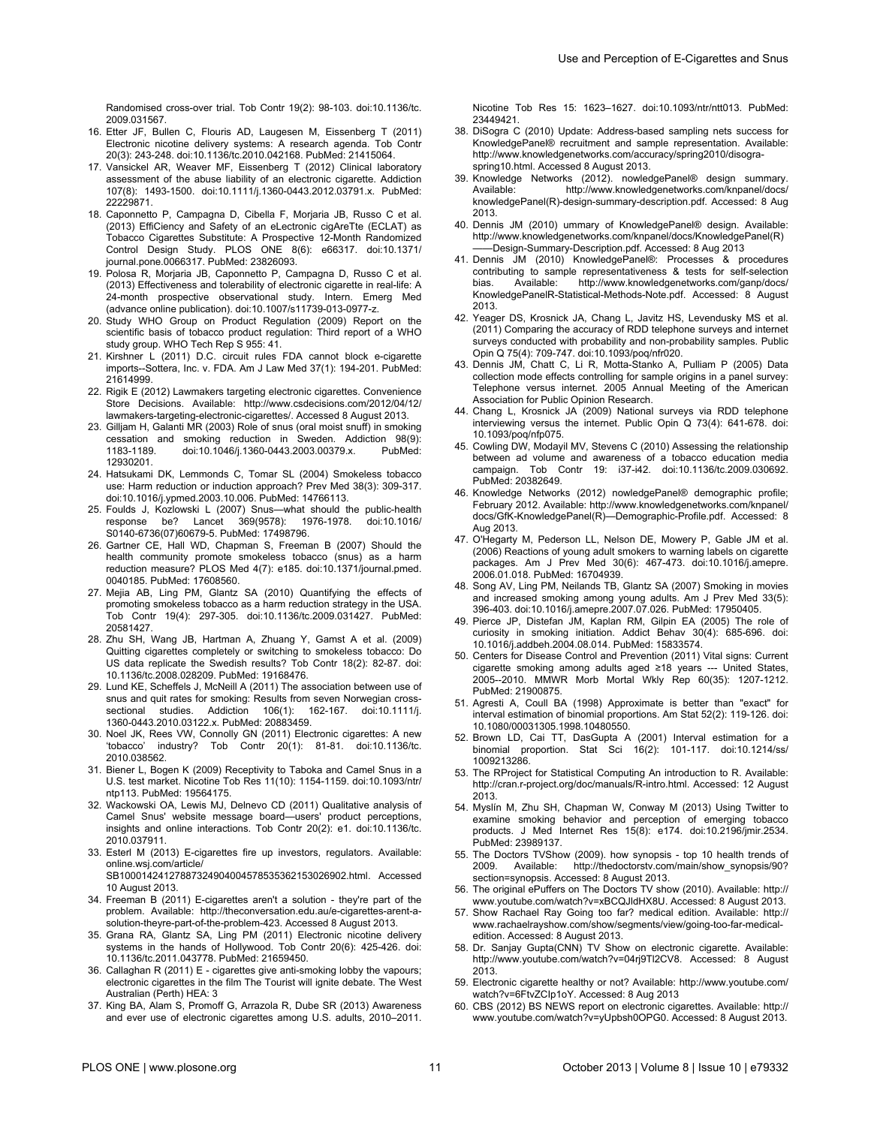- <span id="page-10-0"></span>16. Etter JF, Bullen C, Flouris AD, Laugesen M, Eissenberg T (2011) Electronic nicotine delivery systems: A research agenda. Tob Contr 20(3): 243-248. doi:[10.1136/tc.2010.042168](http://dx.doi.org/10.1136/tc.2010.042168). PubMed: [21415064](http://www.ncbi.nlm.nih.gov/pubmed/21415064).
- 17. Vansickel AR, Weaver MF, Eissenberg T (2012) Clinical laboratory assessment of the abuse liability of an electronic cigarette. Addiction 107(8): 1493-1500. doi[:10.1111/j.1360-0443.2012.03791.x.](http://dx.doi.org/10.1111/j.1360-0443.2012.03791.x) PubMed: [22229871.](http://www.ncbi.nlm.nih.gov/pubmed/22229871)
- 18. Caponnetto P, Campagna D, Cibella F, Morjaria JB, Russo C et al. (2013) EffiCiency and Safety of an eLectronic cigAreTte (ECLAT) as Tobacco Cigarettes Substitute: A Prospective 12-Month Randomized Control Design Study. PLOS ONE 8(6): e66317. doi[:10.1371/](http://dx.doi.org/10.1371/journal.pone.0066317) [journal.pone.0066317](http://dx.doi.org/10.1371/journal.pone.0066317). PubMed: [23826093](http://www.ncbi.nlm.nih.gov/pubmed/23826093).
- 19. Polosa R, Morjaria JB, Caponnetto P, Campagna D, Russo C et al. (2013) Effectiveness and tolerability of electronic cigarette in real-life: A 24-month prospective observational study. Intern. Emerg Med (advance online publication). doi:[10.1007/s11739-013-0977-z.](http://dx.doi.org/10.1007/s11739-013-0977-z)
- 20. Study WHO Group on Product Regulation (2009) Report on the scientific basis of tobacco product regulation: Third report of a WHO study group. WHO Tech Rep S 955: 41.
- 21. Kirshner L (2011) D.C. circuit rules FDA cannot block e-cigarette imports--Sottera, Inc. v. FDA. Am J Law Med 37(1): 194-201. PubMed: [21614999.](http://www.ncbi.nlm.nih.gov/pubmed/21614999)
- 22. Rigik E (2012) Lawmakers targeting electronic cigarettes. Convenience Store Decisions. Available: [http://www.csdecisions.com/2012/04/12/](http://www.csdecisions.com/2012/04/12/lawmakers-targeting-electronic-cigarettes/) [lawmakers-targeting-electronic-cigarettes/.](http://www.csdecisions.com/2012/04/12/lawmakers-targeting-electronic-cigarettes/) Accessed 8 August 2013.
- 23. Gilljam H, Galanti MR (2003) Role of snus (oral moist snuff) in smoking cessation and smoking reduction in Sweden. Addiction 98(9): 1183-1189. doi:[10.1046/j.1360-0443.2003.00379.x](http://dx.doi.org/10.1046/j.1360-0443.2003.00379.x). PubMed: [12930201.](http://www.ncbi.nlm.nih.gov/pubmed/12930201)
- 24. Hatsukami DK, Lemmonds C, Tomar SL (2004) Smokeless tobacco use: Harm reduction or induction approach? Prev Med 38(3): 309-317. doi:[10.1016/j.ypmed.2003.10.006.](http://dx.doi.org/10.1016/j.ypmed.2003.10.006) PubMed: [14766113.](http://www.ncbi.nlm.nih.gov/pubmed/14766113)
- 25. Foulds J, Kozlowski L (2007) Snus—what should the public-health response be? Lancet 369(9578): 1976-1978. doi[:10.1016/](http://dx.doi.org/10.1016/S0140-6736(07)60679-5) [S0140-6736\(07\)60679-5.](http://dx.doi.org/10.1016/S0140-6736(07)60679-5) PubMed: [17498796.](http://www.ncbi.nlm.nih.gov/pubmed/17498796)
- 26. Gartner CE, Hall WD, Chapman S, Freeman B (2007) Should the health community promote smokeless tobacco (snus) as a harm reduction measure? PLOS Med 4(7): e185. doi:[10.1371/journal.pmed.](http://dx.doi.org/10.1371/journal.pmed.0040185) [0040185.](http://dx.doi.org/10.1371/journal.pmed.0040185) PubMed: [17608560.](http://www.ncbi.nlm.nih.gov/pubmed/17608560)
- 27. Mejia AB, Ling PM, Glantz SA (2010) Quantifying the effects of promoting smokeless tobacco as a harm reduction strategy in the USA. Tob Contr 19(4): 297-305. doi:[10.1136/tc.2009.031427.](http://dx.doi.org/10.1136/tc.2009.031427) PubMed: [20581427.](http://www.ncbi.nlm.nih.gov/pubmed/20581427)
- 28. Zhu SH, Wang JB, Hartman A, Zhuang Y, Gamst A et al. (2009) Quitting cigarettes completely or switching to smokeless tobacco: Do US data replicate the Swedish results? Tob Contr 18(2): 82-87. doi: [10.1136/tc.2008.028209](http://dx.doi.org/10.1136/tc.2008.028209). PubMed: [19168476](http://www.ncbi.nlm.nih.gov/pubmed/19168476).
- 29. Lund KE, Scheffels J, McNeill A (2011) The association between use of snus and quit rates for smoking: Results from seven Norwegian crosssectional studies. Addiction 106(1): 162-167. doi:[10.1111/j.](http://dx.doi.org/10.1111/j.1360-0443.2010.03122.x) [1360-0443.2010.03122.x](http://dx.doi.org/10.1111/j.1360-0443.2010.03122.x). PubMed: [20883459](http://www.ncbi.nlm.nih.gov/pubmed/20883459).
- 30. Noel JK, Rees VW, Connolly GN (2011) Electronic cigarettes: A new 'tobacco' industry? Tob Contr 20(1): 81-81. doi:[10.1136/tc.](http://dx.doi.org/10.1136/tc.2010.038562) [2010.038562](http://dx.doi.org/10.1136/tc.2010.038562).
- 31. Biener L, Bogen K (2009) Receptivity to Taboka and Camel Snus in a U.S. test market. Nicotine Tob Res 11(10): 1154-1159. doi[:10.1093/ntr/](http://dx.doi.org/10.1093/ntr/ntp113) [ntp113](http://dx.doi.org/10.1093/ntr/ntp113). PubMed: [19564175](http://www.ncbi.nlm.nih.gov/pubmed/19564175).
- 32. Wackowski OA, Lewis MJ, Delnevo CD (2011) Qualitative analysis of Camel Snus' website message board—users' product perceptions, insights and online interactions. Tob Contr 20(2): e1. doi:[10.1136/tc.](http://dx.doi.org/10.1136/tc.2010.037911) [2010.037911](http://dx.doi.org/10.1136/tc.2010.037911).
- 33. Esterl M (2013) E-cigarettes fire up investors, regulators. Available: [online.wsj.com/article/](http://online.wsj.com/article/sb10001424127887324904004578535362153026902.html) [SB10001424127887324904004578535362153026902.html.](http://online.wsj.com/article/sb10001424127887324904004578535362153026902.html) Accessed
- 10 August 2013. 34. Freeman B (2011) E-cigarettes aren't a solution - they're part of the
- problem. Available: [http://theconversation.edu.au/e-cigarettes-arent-a](http://theconversation.edu.au/e-cigarettes-arent-a-solution-theyre-part-of-the-problem-423)[solution-theyre-part-of-the-problem-423.](http://theconversation.edu.au/e-cigarettes-arent-a-solution-theyre-part-of-the-problem-423) Accessed 8 August 2013.
- 35. Grana RA, Glantz SA, Ling PM (2011) Electronic nicotine delivery systems in the hands of Hollywood. Tob Contr 20(6): 425-426. doi: [10.1136/tc.2011.043778](http://dx.doi.org/10.1136/tc.2011.043778). PubMed: [21659450](http://www.ncbi.nlm.nih.gov/pubmed/21659450).
- 36. Callaghan R (2011) E cigarettes give anti-smoking lobby the vapours; electronic cigarettes in the film The Tourist will ignite debate. The West Australian (Perth) HEA: 3
- 37. King BA, Alam S, Promoff G, Arrazola R, Dube SR (2013) Awareness and ever use of electronic cigarettes among U.S. adults, 2010–2011.

Nicotine Tob Res 15: 1623–1627. doi[:10.1093/ntr/ntt013.](http://dx.doi.org/10.1093/ntr/ntt013) PubMed: [23449421.](http://www.ncbi.nlm.nih.gov/pubmed/23449421)

- 38. DiSogra C (2010) Update: Address-based sampling nets success for KnowledgePanel® recruitment and sample representation. Available: [http://www.knowledgenetworks.com/accuracy/spring2010/disogra](http://www.knowledgenetworks.com/accuracy/spring2010/disogra-spring10.html)[spring10.html.](http://www.knowledgenetworks.com/accuracy/spring2010/disogra-spring10.html) Accessed 8 August 2013.
- 39. Knowledge Networks (2012). nowledgePanel® design summary. [http://www.knowledgenetworks.com/knpanel/docs/](http://www.knowledgenetworks.com/knpanel/docs/knowledgepanel) [knowledgePanel\(](http://www.knowledgenetworks.com/knpanel/docs/knowledgepanel)R)-design-summary-description.pdf. Accessed: 8 Aug 2013.
- 40. Dennis JM (2010) ummary of KnowledgePanel® design. Available: [http://www.knowledgenetworks.com/knpanel/docs/KnowledgePanel](http://www.knowledgenetworks.com/knpanel/docs/knowledgepanel)(R) ——Design-Summary-Description.pdf. Accessed: 8 Aug 2013
- 41. Dennis JM (2010) KnowledgePanel®: Processes & procedures contributing to sample representativeness & tests for self-selection bias. Available: [http://www.knowledgenetworks.com/ganp/docs/](http://www.knowledgenetworks.com/ganp/docs/knowledgepanelr-statistical-methods-note.pdf) [KnowledgePanelR-Statistical-Methods-Note.pdf](http://www.knowledgenetworks.com/ganp/docs/knowledgepanelr-statistical-methods-note.pdf). Accessed: 8 August 2013.
- 42. Yeager DS, Krosnick JA, Chang L, Javitz HS, Levendusky MS et al. (2011) Comparing the accuracy of RDD telephone surveys and internet surveys conducted with probability and non-probability samples. Public Opin Q 75(4): 709-747. doi:[10.1093/poq/nfr020](http://dx.doi.org/10.1093/poq/nfr020).
- 43. Dennis JM, Chatt C, Li R, Motta-Stanko A, Pulliam P (2005) Data collection mode effects controlling for sample origins in a panel survey: Telephone versus internet. 2005 Annual Meeting of the American Association for Public Opinion Research.
- 44. Chang L, Krosnick JA (2009) National surveys via RDD telephone interviewing versus the internet. Public Opin Q 73(4): 641-678. doi: [10.1093/poq/nfp075.](http://dx.doi.org/10.1093/poq/nfp075)
- 45. Cowling DW, Modayil MV, Stevens C (2010) Assessing the relationship between ad volume and awareness of a tobacco education media campaign. Tob Contr 19: i37-i42. doi:[10.1136/tc.2009.030692](http://dx.doi.org/10.1136/tc.2009.030692). PubMed: [20382649.](http://www.ncbi.nlm.nih.gov/pubmed/20382649)
- 46. Knowledge Networks (2012) nowledgePanel® demographic profile; February 2012. Available: [http://www.knowledgenetworks.com/knpanel/](http://www.knowledgenetworks.com/knpanel/docs/gfk-knowledgepanel) [docs/GfK-KnowledgePanel](http://www.knowledgenetworks.com/knpanel/docs/gfk-knowledgepanel)(R)—Demographic-Profile.pdf. Accessed: 8 Aug 2013.
- 47. O'Hegarty M, Pederson LL, Nelson DE, Mowery P, Gable JM et al. (2006) Reactions of young adult smokers to warning labels on cigarette packages. Am J Prev Med 30(6): 467-473. doi:[10.1016/j.amepre.](http://dx.doi.org/10.1016/j.amepre.2006.01.018) [2006.01.018](http://dx.doi.org/10.1016/j.amepre.2006.01.018). PubMed: [16704939](http://www.ncbi.nlm.nih.gov/pubmed/16704939).
- 48. Song AV, Ling PM, Neilands TB, Glantz SA (2007) Smoking in movies and increased smoking among young adults. Am J Prev Med 33(5): 396-403. doi[:10.1016/j.amepre.2007.07.026.](http://dx.doi.org/10.1016/j.amepre.2007.07.026) PubMed: [17950405.](http://www.ncbi.nlm.nih.gov/pubmed/17950405)
- 49. Pierce JP, Distefan JM, Kaplan RM, Gilpin EA (2005) The role of curiosity in smoking initiation. Addict Behav 30(4): 685-696. doi: [10.1016/j.addbeh.2004.08.014](http://dx.doi.org/10.1016/j.addbeh.2004.08.014). PubMed: [15833574](http://www.ncbi.nlm.nih.gov/pubmed/15833574).
- 50. Centers for Disease Control and Prevention (2011) Vital signs: Current cigarette smoking among adults aged ≥18 years --- United States, 2005--2010. MMWR Morb Mortal Wkly Rep 60(35): 1207-1212. PubMed: [21900875.](http://www.ncbi.nlm.nih.gov/pubmed/21900875)
- 51. Agresti A, Coull BA (1998) Approximate is better than "exact" for interval estimation of binomial proportions. Am Stat 52(2): 119-126. doi: [10.1080/00031305.1998.10480550](http://dx.doi.org/10.1080/00031305.1998.10480550).
- 52. Brown LD, Cai TT, DasGupta A (2001) Interval estimation for a binomial proportion. Stat Sci 16(2): 101-117. doi[:10.1214/ss/](http://dx.doi.org/10.1214/ss/1009213286) [1009213286](http://dx.doi.org/10.1214/ss/1009213286).
- 53. The RProject for Statistical Computing An introduction to R. Available: [http://cran.r-project.org/doc/manuals/R-intro.html](http://cran.r-project.org/doc/manuals/r-intro.html). Accessed: 12 August 2013.
- 54. Myslín M, Zhu SH, Chapman W, Conway M (2013) Using Twitter to examine smoking behavior and perception of emerging tobacco products. J Med Internet Res 15(8): e174. doi[:10.2196/jmir.2534](http://dx.doi.org/10.2196/jmir.2534). PubMed: [23989137.](http://www.ncbi.nlm.nih.gov/pubmed/23989137)
- 55. The Doctors TVShow (2009). how synopsis top 10 health trends of 2009. Available: [http://thedoctorstv.com/main/show\\_synopsis/90?](http://thedoctorstv.com/main/show_synopsis/90?section=synopsis) [section=synopsis](http://thedoctorstv.com/main/show_synopsis/90?section=synopsis). Accessed: 8 August 2013.
- 56. The original ePuffers on The Doctors TV show (2010). Available: [http://](http://www.youtube.com/watch?v=xbcqjldhx8u) [www.youtube.com/watch?v=xBCQJldHX8U.](http://www.youtube.com/watch?v=xbcqjldhx8u) Accessed: 8 August 2013.
- 57. Show Rachael Ray Going too far? medical edition. Available: [http://](http://www.rachaelrayshow.com/show/segments/view/going-too-far-medical-edition) [www.rachaelrayshow.com/show/segments/view/going-too-far-medical](http://www.rachaelrayshow.com/show/segments/view/going-too-far-medical-edition)[edition](http://www.rachaelrayshow.com/show/segments/view/going-too-far-medical-edition). Accessed: 8 August 2013.
- 58. Dr. Sanjay Gupta(CNN) TV Show on electronic cigarette. Available: [http://www.youtube.com/watch?v=04rj9Tl2CV8.](http://www.youtube.com/watch?v=04rj9tl2cv8) Accessed: 8 August 2013.
- 59. Electronic cigarette healthy or not? Available: [http://www.youtube.com/](http://www.youtube.com/watch?v=6ftvzcip1oy) [watch?v=6FtvZCIp1oY.](http://www.youtube.com/watch?v=6ftvzcip1oy) Accessed: 8 Aug 2013
- 60. CBS (2012) BS NEWS report on electronic cigarettes. Available: [http://](http://www.youtube.com/watch?v=yupbsh0opg0) [www.youtube.com/watch?v=yUpbsh0OPG0](http://www.youtube.com/watch?v=yupbsh0opg0). Accessed: 8 August 2013.